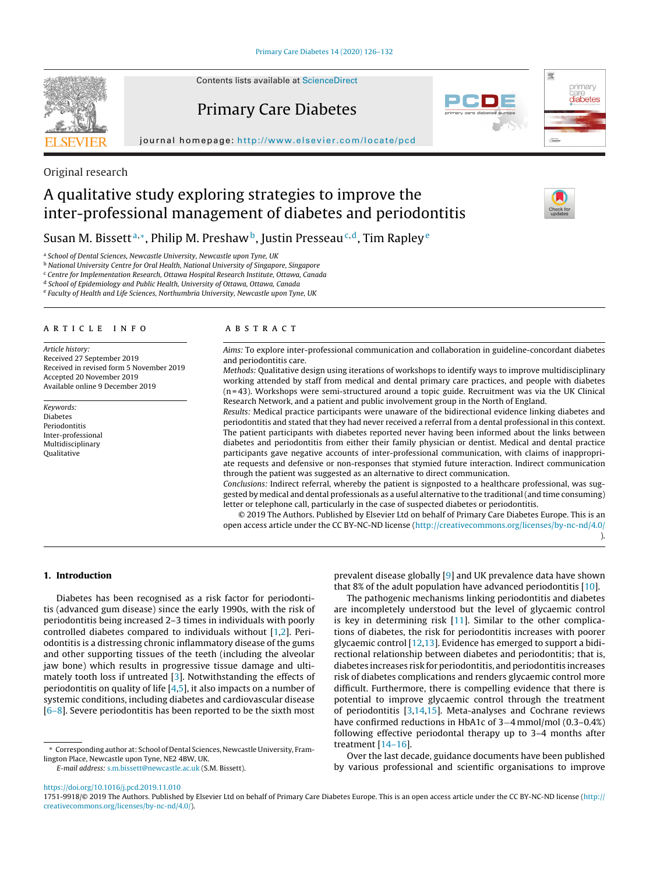

Contents lists available at [ScienceDirect](http://www.sciencedirect.com/science/journal/17519918)

Primary Care Diabetes









Original research

# A qualitative study exploring strategies to improve the inter-professional management of diabetes and periodontitis



# Susan M. Bissett<sup>a,\*</sup>, Philip M. Preshaw<sup>b</sup>, Justin Presseau<sup>c,d</sup>, Tim Rapley<sup>e</sup>

<sup>a</sup> School of Dental Sciences, Newcastle University, Newcastle upon Tyne, UK

**b National University Centre for Oral Health, National University of Singapore, Singapore** 

<sup>c</sup> Centre for Implementation Research, Ottawa Hospital Research Institute, Ottawa, Canada

<sup>d</sup> School of Epidemiology and Public Health, University of Ottawa, Ottawa, Canada

<sup>e</sup> Faculty of Health and Life Sciences, Northumbria University, Newcastle upon Tyne, UK

#### a r t i c l e i n f o

Article history: Received 27 September 2019 Received in revised form 5 November 2019 Accepted 20 November 2019 Available online 9 December 2019

Keywords: Diabetes Periodontitis Inter-professional Multidisciplinary Qualitative

# A B S T R A C T

Aims: To explore inter-professional communication and collaboration in guideline-concordant diabetes and periodontitis care.

Methods: Qualitative design using iterations of workshops to identify ways to improve multidisciplinary working attended by staff from medical and dental primary care practices, and people with diabetes (n = 43). Workshops were semi-structured around a topic guide. Recruitment was via the UK Clinical Research Network, and a patient and public involvement group in the North of England.

Results: Medical practice participants were unaware of the bidirectional evidence linking diabetes and periodontitis and stated that they had never received a referral from a dental professional in this context. The patient participants with diabetes reported never having been informed about the links between diabetes and periodontitis from either their family physician or dentist. Medical and dental practice participants gave negative accounts of inter-professional communication, with claims of inappropriate requests and defensive or non-responses that stymied future interaction. Indirect communication through the patient was suggested as an alternative to direct communication.

Conclusions: Indirect referral, whereby the patient is signposted to a healthcare professional, was suggested by medical and dental professionals as a useful alternative to the traditional(and time consuming) letter or telephone call, particularly in the case of suspected diabetes or periodontitis.

© 2019 The Authors. Published by Elsevier Ltd on behalf of Primary Care Diabetes Europe. This is an open access article under the CC BY-NC-ND license (<http://creativecommons.org/licenses/by-nc-nd/4.0/> ).

#### **1. Introduction**

Diabetes has been recognised as a risk factor for periodontitis (advanced gum disease) since the early 1990s, with the risk of periodontitis being increased 2–3 times in individuals with poorly controlled diabetes compared to individuals without [\[1,2\].](#page-5-0) Periodontitis is a distressing chronic inflammatory disease of the gums and other supporting tissues of the teeth (including the alveolar jaw bone) which results in progressive tissue damage and ultimately tooth loss if untreated [\[3\].](#page-5-0) Notwithstanding the effects of periodontitis on quality of life [\[4,5\],](#page-5-0) it also impacts on a number of systemic conditions, including diabetes and cardiovascular disease  $[6-8]$ . Severe periodontitis has been reported to be the sixth most

∗ Corresponding author at: School of Dental Sciences, Newcastle University, Framlington Place, Newcastle upon Tyne, NE2 4BW, UK.

E-mail address: [s.m.bissett@newcastle.ac.uk](mailto:s.m.bissett@newcastle.ac.uk) (S.M. Bissett).

prevalent disease globally [\[9\]](#page-5-0) and UK prevalence data have shown that 8% of the adult population have advanced periodontitis  $[10]$ .

The pathogenic mechanisms linking periodontitis and diabetes are incompletely understood but the level of glycaemic control is key in determining risk [[11\].](#page-5-0) Similar to the other complications of diabetes, the risk for periodontitis increases with poorer glycaemic control [[12,13\].](#page-5-0) Evidence has emerged to support a bidirectional relationship between diabetes and periodontitis; that is, diabetes increases risk for periodontitis, and periodontitis increases risk of diabetes complications and renders glycaemic control more difficult. Furthermore, there is compelling evidence that there is potential to improve glycaemic control through the treatment of periodontitis [\[3,14,15\].](#page-5-0) Meta-analyses and Cochrane reviews have confirmed reductions in HbA1c of 3−4 mmol/mol (0.3–0.4%) following effective periodontal therapy up to 3–4 months after treatment [[14–16\].](#page-5-0)

Over the last decade, guidance documents have been published by various professional and scientific organisations to improve

1751-9918/© 2019 The Authors. Published by Elsevier Ltd on behalf of Primary Care Diabetes Europe. This is an open access article under the CC BY-NC-ND license [\(http://](http://creativecommons.org/licenses/by-nc-nd/4.0/) [creativecommons.org/licenses/by-nc-nd/4.0/\)](http://creativecommons.org/licenses/by-nc-nd/4.0/).

<https://doi.org/10.1016/j.pcd.2019.11.010>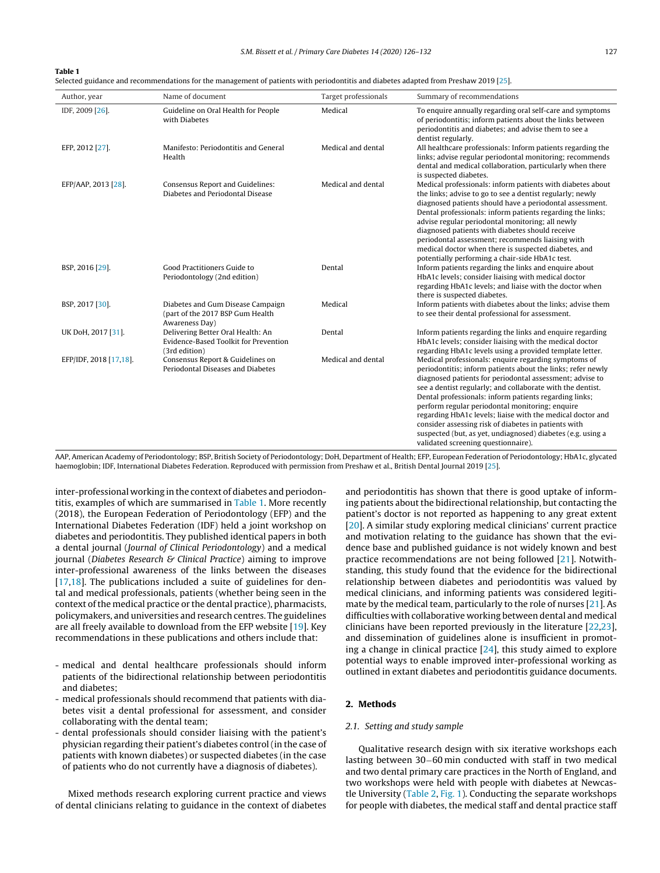#### **Table 1**

Selected guidance and recommendations for the management of patients with periodontitis and diabetes adapted from Preshaw 2019 [[25\].](#page-5-0)

| Author, year           | Name of document                                                                            | Target professionals | Summary of recommendations                                                                                                                                                                                                                                                                                                                                                                                                                                                                                                                                                             |
|------------------------|---------------------------------------------------------------------------------------------|----------------------|----------------------------------------------------------------------------------------------------------------------------------------------------------------------------------------------------------------------------------------------------------------------------------------------------------------------------------------------------------------------------------------------------------------------------------------------------------------------------------------------------------------------------------------------------------------------------------------|
| IDF, 2009 [26].        | Guideline on Oral Health for People<br>with Diabetes                                        | Medical              | To enquire annually regarding oral self-care and symptoms<br>of periodontitis; inform patients about the links between<br>periodontitis and diabetes; and advise them to see a<br>dentist regularly.                                                                                                                                                                                                                                                                                                                                                                                   |
| EFP, 2012 [27].        | Manifesto: Periodontitis and General<br>Health                                              | Medical and dental   | All healthcare professionals: Inform patients regarding the<br>links; advise regular periodontal monitoring; recommends<br>dental and medical collaboration, particularly when there<br>is suspected diabetes.                                                                                                                                                                                                                                                                                                                                                                         |
| EFP/AAP, 2013 [28].    | Consensus Report and Guidelines:<br>Diabetes and Periodontal Disease                        | Medical and dental   | Medical professionals: inform patients with diabetes about<br>the links; advise to go to see a dentist regularly; newly<br>diagnosed patients should have a periodontal assessment.<br>Dental professionals; inform patients regarding the links;<br>advise regular periodontal monitoring; all newly<br>diagnosed patients with diabetes should receive<br>periodontal assessment; recommends liaising with<br>medical doctor when there is suspected diabetes, and<br>potentially performing a chair-side HbA1c test.                                                                |
| BSP, 2016 [29].        | Good Practitioners Guide to<br>Periodontology (2nd edition)                                 | Dental               | Inform patients regarding the links and enquire about<br>HbA1c levels; consider liaising with medical doctor<br>regarding HbA1c levels; and liaise with the doctor when<br>there is suspected diabetes.                                                                                                                                                                                                                                                                                                                                                                                |
| BSP, 2017 [30].        | Diabetes and Gum Disease Campaign<br>(part of the 2017 BSP Gum Health<br>Awareness Day)     | Medical              | Inform patients with diabetes about the links; advise them<br>to see their dental professional for assessment.                                                                                                                                                                                                                                                                                                                                                                                                                                                                         |
| UK DoH, 2017 [31].     | Delivering Better Oral Health: An<br>Evidence-Based Toolkit for Prevention<br>(3rd edition) | Dental               | Inform patients regarding the links and enquire regarding<br>HbA1c levels; consider liaising with the medical doctor<br>regarding HbA1c levels using a provided template letter.                                                                                                                                                                                                                                                                                                                                                                                                       |
| EFP/IDF, 2018 [17,18]. | Consensus Report & Guidelines on<br>Periodontal Diseases and Diabetes                       | Medical and dental   | Medical professionals: enquire regarding symptoms of<br>periodontitis; inform patients about the links; refer newly<br>diagnosed patients for periodontal assessment; advise to<br>see a dentist regularly; and collaborate with the dentist.<br>Dental professionals: inform patients regarding links;<br>perform regular periodontal monitoring; enquire<br>regarding HbA1c levels; liaise with the medical doctor and<br>consider assessing risk of diabetes in patients with<br>suspected (but, as yet, undiagnosed) diabetes (e.g. using a<br>validated screening questionnaire). |

AAP, American Academy of Periodontology; BSP, British Society of Periodontology; DoH, Department of Health; EFP, European Federation of Periodontology; HbA1c, glycated haemoglobin; IDF, International Diabetes Federation. Reproduced with permission from Preshaw et al., British Dental Journal 2019 [[25\].](#page-5-0)

inter-professional working in the context of diabetes and periodontitis, examples of which are summarised in Table 1. More recently (2018), the European Federation of Periodontology (EFP) and the International Diabetes Federation (IDF) held a joint workshop on diabetes and periodontitis. They published identical papers in both a dental journal (Journal of Clinical Periodontology) and a medical journal (Diabetes Research & Clinical Practice) aiming to improve inter-professional awareness of the links between the diseases [[17,18\].](#page-5-0) The publications included a suite of guidelines for dental and medical professionals, patients (whether being seen in the context of the medical practice or the dental practice), pharmacists, policymakers, and universities and research centres. The guidelines are all freely available to download from the EFP website [\[19\].](#page-5-0) Key recommendations in these publications and others include that:

- medical and dental healthcare professionals should inform patients of the bidirectional relationship between periodontitis and diabetes;
- medical professionals should recommend that patients with diabetes visit a dental professional for assessment, and consider collaborating with the dental team;
- dental professionals should consider liaising with the patient's physician regarding their patient's diabetes control (in the case of patients with known diabetes) or suspected diabetes (in the case of patients who do not currently have a diagnosis of diabetes).

Mixed methods research exploring current practice and views of dental clinicians relating to guidance in the context of diabetes and periodontitis has shown that there is good uptake of informing patients about the bidirectional relationship, but contacting the patient's doctor is not reported as happening to any great extent [\[20\].](#page-5-0) A similar study exploring medical clinicians' current practice and motivation relating to the guidance has shown that the evidence base and published guidance is not widely known and best practice recommendations are not being followed [\[21\].](#page-5-0) Notwithstanding, this study found that the evidence for the bidirectional relationship between diabetes and periodontitis was valued by medical clinicians, and informing patients was considered legitimate by the medical team, particularly to the role of nurses [\[21\].](#page-5-0) As difficulties with collaborative working between dental and medical clinicians have been reported previously in the literature [[22,23\],](#page-5-0) and dissemination of guidelines alone is insufficient in promoting a change in clinical practice  $[24]$ , this study aimed to explore potential ways to enable improved inter-professional working as outlined in extant diabetes and periodontitis guidance documents.

#### **2. Methods**

#### 2.1. Setting and study sample

Qualitative research design with six iterative workshops each lasting between 30−60 min conducted with staff in two medical and two dental primary care practices in the North of England, and two workshops were held with people with diabetes at Newcastle University ([Table](#page-2-0) 2, [Fig.](#page-2-0) 1). Conducting the separate workshops for people with diabetes, the medical staff and dental practice staff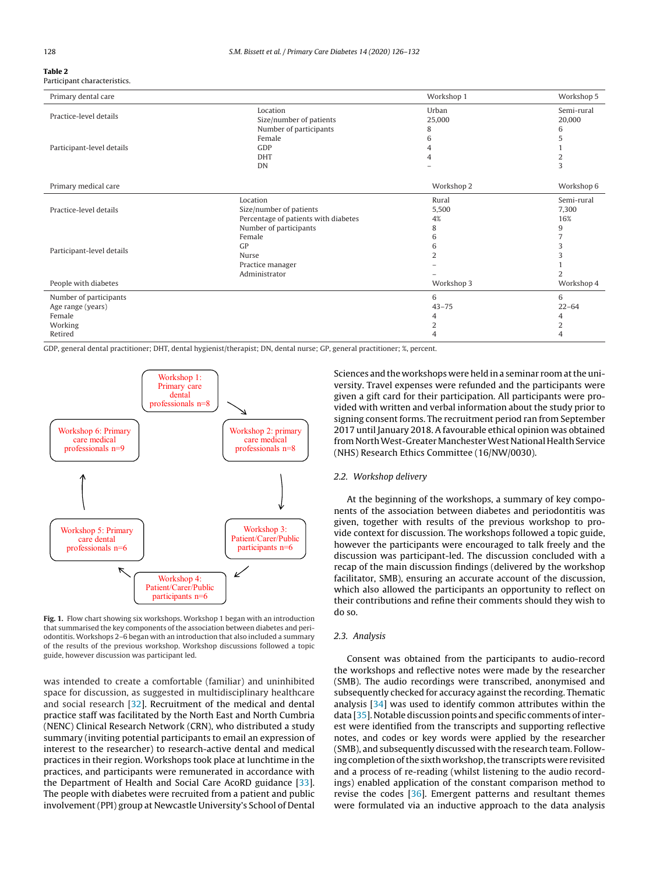#### <span id="page-2-0"></span>**Table 2** Participant characteristics.

| Primary dental care       |                                      | Workshop 1 | Workshop 5 |
|---------------------------|--------------------------------------|------------|------------|
|                           | Location                             | Urban      | Semi-rural |
| Practice-level details    | Size/number of patients              | 25,000     | 20,000     |
|                           | Number of participants               | 8          | 6          |
|                           | Female                               | 6          | 5          |
| Participant-level details | GDP                                  |            |            |
|                           | <b>DHT</b>                           |            | 2          |
|                           | DN                                   |            | 3          |
| Primary medical care      |                                      | Workshop 2 | Workshop 6 |
|                           | Location                             | Rural      | Semi-rural |
| Practice-level details    | Size/number of patients              | 5,500      | 7,300      |
|                           | Percentage of patients with diabetes | 4%         | 16%        |
|                           | Number of participants               | 8          | 9          |
| Participant-level details | Female                               | 6          |            |
|                           | GP                                   | 6          | 3          |
|                           | Nurse                                |            | 3          |
|                           | Practice manager                     |            |            |
|                           | Administrator                        |            |            |
| People with diabetes      |                                      | Workshop 3 | Workshop 4 |
| Number of participants    |                                      | 6          | 6          |
| Age range (years)         |                                      | $43 - 75$  | $22 - 64$  |
| Female                    |                                      | 4          | 4          |
| Working                   |                                      | 2          | 2          |
| Retired                   |                                      |            |            |

GDP, general dental practitioner; DHT, dental hygienist/therapist; DN, dental nurse; GP, general practitioner; %, percent.



**Fig. 1.** Flow chart showing six workshops. Workshop 1 began with an introduction that summarised the key components of the association between diabetes and periodontitis. Workshops 2–6 began with an introduction that also included a summary of the results of the previous workshop. Workshop discussions followed a topic guide, however discussion was participant led.

was intended to create a comfortable (familiar) and uninhibited space for discussion, as suggested in multidisciplinary healthcare and social research [\[32\].](#page-5-0) Recruitment of the medical and dental practice staff was facilitated by the North East and North Cumbria (NENC) Clinical Research Network (CRN), who distributed a study summary (inviting potential participants to email an expression of interest to the researcher) to research-active dental and medical practices in their region. Workshops took place at lunchtime in the practices, and participants were remunerated in accordance with the Department of Health and Social Care AcoRD guidance [[33\].](#page-5-0) The people with diabetes were recruited from a patient and public involvement (PPI) group at Newcastle University's School of Dental

Sciences and the workshops were held in a seminar room at the university. Travel expenses were refunded and the participants were given a gift card for their participation. All participants were provided with written and verbal information about the study prior to signing consent forms. The recruitment period ran from September 2017 until January 2018. A favourable ethical opinion was obtained from North West-Greater Manchester West National Health Service (NHS) Research Ethics Committee (16/NW/0030).

#### 2.2. Workshop delivery

At the beginning of the workshops, a summary of key components of the association between diabetes and periodontitis was given, together with results of the previous workshop to provide context for discussion. The workshops followed a topic guide, however the participants were encouraged to talk freely and the discussion was participant-led. The discussion concluded with a recap of the main discussion findings (delivered by the workshop facilitator, SMB), ensuring an accurate account of the discussion, which also allowed the participants an opportunity to reflect on their contributions and refine their comments should they wish to do so.

#### 2.3. Analysis

Consent was obtained from the participants to audio-record the workshops and reflective notes were made by the researcher (SMB). The audio recordings were transcribed, anonymised and subsequently checked for accuracy against the recording. Thematic analysis [[34\]](#page-6-0) was used to identify common attributes within the data [\[35\].](#page-6-0) Notable discussion points and specific comments of interest were identified from the transcripts and supporting reflective notes, and codes or key words were applied by the researcher (SMB), and subsequently discussed with the research team. Following completion of the sixth workshop, the transcripts were revisited and a process of re-reading (whilst listening to the audio recordings) enabled application of the constant comparison method to revise the codes [\[36\].](#page-6-0) Emergent patterns and resultant themes were formulated via an inductive approach to the data analysis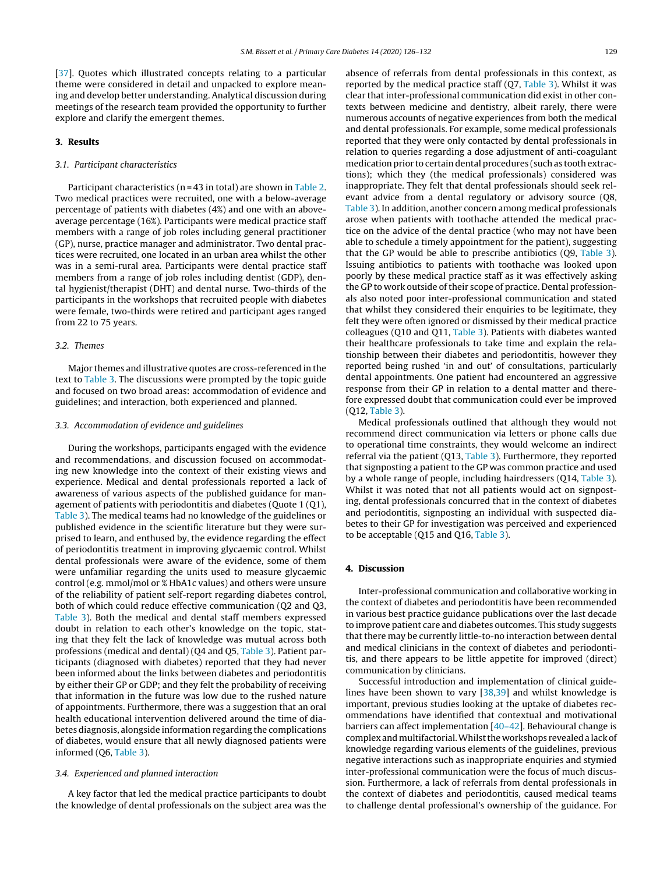[[37\].](#page-6-0) Quotes which illustrated concepts relating to a particular theme were considered in detail and unpacked to explore meaning and develop better understanding. Analytical discussion during meetings of the research team provided the opportunity to further explore and clarify the emergent themes.

#### **3. Results**

### 3.1. Participant characteristics

Participant characteristics ( $n = 43$  in total) are shown in [Table](#page-2-0) 2. Two medical practices were recruited, one with a below-average percentage of patients with diabetes (4%) and one with an aboveaverage percentage (16%). Participants were medical practice staff members with a range of job roles including general practitioner (GP), nurse, practice manager and administrator. Two dental practices were recruited, one located in an urban area whilst the other was in a semi-rural area. Participants were dental practice staff members from a range of job roles including dentist (GDP), dental hygienist/therapist (DHT) and dental nurse. Two-thirds of the participants in the workshops that recruited people with diabetes were female, two-thirds were retired and participant ages ranged from 22 to 75 years.

#### 3.2. Themes

Major themes and illustrative quotes are cross-referenced in the text to [Table](#page-4-0) 3. The discussions were prompted by the topic guide and focused on two broad areas: accommodation of evidence and guidelines; and interaction, both experienced and planned.

#### 3.3. Accommodation of evidence and guidelines

During the workshops, participants engaged with the evidence and recommendations, and discussion focused on accommodating new knowledge into the context of their existing views and experience. Medical and dental professionals reported a lack of awareness of various aspects of the published guidance for management of patients with periodontitis and diabetes (Quote 1 (Q1), [Table](#page-4-0) 3). The medical teams had no knowledge of the guidelines or published evidence in the scientific literature but they were surprised to learn, and enthused by, the evidence regarding the effect of periodontitis treatment in improving glycaemic control. Whilst dental professionals were aware of the evidence, some of them were unfamiliar regarding the units used to measure glycaemic control (e.g. mmol/mol or % HbA1c values) and others were unsure of the reliability of patient self-report regarding diabetes control, both of which could reduce effective communication (Q2 and Q3, [Table](#page-4-0) 3). Both the medical and dental staff members expressed doubt in relation to each other's knowledge on the topic, stating that they felt the lack of knowledge was mutual across both professions (medical and dental) (Q4 and Q5, [Table](#page-4-0) 3). Patient participants (diagnosed with diabetes) reported that they had never been informed about the links between diabetes and periodontitis by either their GP or GDP; and they felt the probability of receiving that information in the future was low due to the rushed nature of appointments. Furthermore, there was a suggestion that an oral health educational intervention delivered around the time of diabetes diagnosis, alongside information regarding the complications of diabetes, would ensure that all newly diagnosed patients were informed (Q6, [Table](#page-4-0) 3).

#### 3.4. Experienced and planned interaction

A key factor that led the medical practice participants to doubt the knowledge of dental professionals on the subject area was the absence of referrals from dental professionals in this context, as reported by the medical practice staff  $(Q7, Table 3)$  $(Q7, Table 3)$  $(Q7, Table 3)$ . Whilst it was clear that inter-professional communication did exist in other contexts between medicine and dentistry, albeit rarely, there were numerous accounts of negative experiences from both the medical and dental professionals. For example, some medical professionals reported that they were only contacted by dental professionals in relation to queries regarding a dose adjustment of anti-coagulant medication prior to certain dental procedures (such as tooth extractions); which they (the medical professionals) considered was inappropriate. They felt that dental professionals should seek relevant advice from a dental regulatory or advisory source (Q8, [Table](#page-4-0) 3). In addition, another concern among medical professionals arose when patients with toothache attended the medical practice on the advice of the dental practice (who may not have been able to schedule a timely appointment for the patient), suggesting that the GP would be able to prescribe antibiotics (Q9, [Table](#page-4-0) 3). Issuing antibiotics to patients with toothache was looked upon poorly by these medical practice staff as it was effectively asking the GP to work outside of their scope of practice. Dental professionals also noted poor inter-professional communication and stated that whilst they considered their enquiries to be legitimate, they felt they were often ignored or dismissed by their medical practice colleagues (Q10 and Q11, [Table](#page-4-0) 3). Patients with diabetes wanted their healthcare professionals to take time and explain the relationship between their diabetes and periodontitis, however they reported being rushed 'in and out' of consultations, particularly dental appointments. One patient had encountered an aggressive response from their GP in relation to a dental matter and therefore expressed doubt that communication could ever be improved (Q12, [Table](#page-4-0) 3).

Medical professionals outlined that although they would not recommend direct communication via letters or phone calls due to operational time constraints, they would welcome an indirect referral via the patient (Q13, [Table](#page-4-0) 3). Furthermore, they reported that signposting a patient to the GP was common practice and used by a whole range of people, including hairdressers (Q14, [Table](#page-4-0) 3). Whilst it was noted that not all patients would act on signposting, dental professionals concurred that in the context of diabetes and periodontitis, signposting an individual with suspected diabetes to their GP for investigation was perceived and experienced to be acceptable (Q15 and Q16, [Table](#page-4-0) 3).

## **4. Discussion**

Inter-professional communication and collaborative working in the context of diabetes and periodontitis have been recommended in various best practice guidance publications over the last decade to improve patient care and diabetes outcomes. This study suggests that there may be currently little-to-no interaction between dental and medical clinicians in the context of diabetes and periodontitis, and there appears to be little appetite for improved (direct) communication by clinicians.

Successful introduction and implementation of clinical guidelines have been shown to vary [[38,39\]](#page-6-0) and whilst knowledge is important, previous studies looking at the uptake of diabetes recommendations have identified that contextual and motivational barriers can affect implementation [[40–42\].](#page-6-0) Behavioural change is complex and multifactorial. Whilst the workshops revealed a lack of knowledge regarding various elements of the guidelines, previous negative interactions such as inappropriate enquiries and stymied inter-professional communication were the focus of much discussion. Furthermore, a lack of referrals from dental professionals in the context of diabetes and periodontitis, caused medical teams to challenge dental professional's ownership of the guidance. For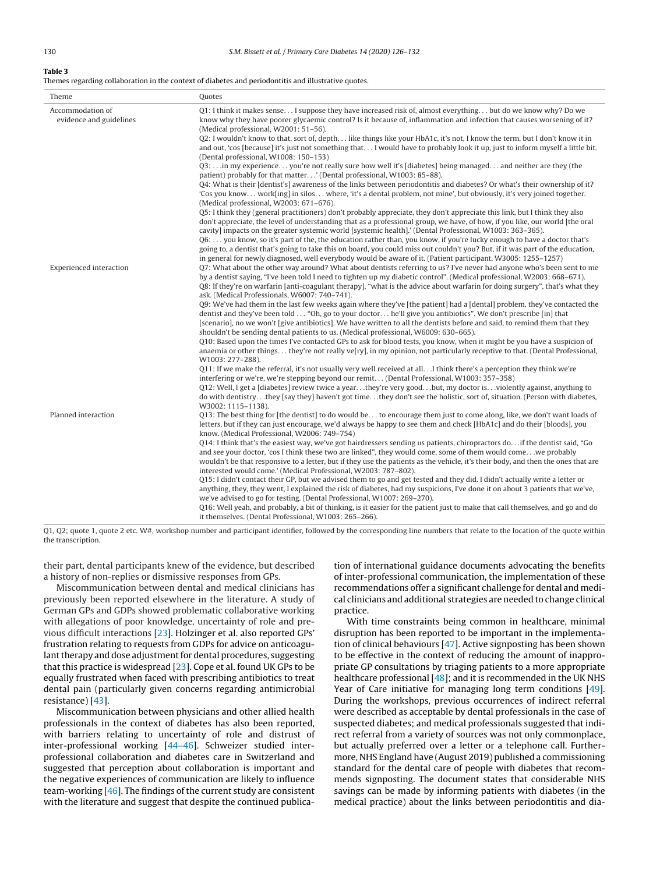#### <span id="page-4-0"></span>**Table 3**

Themes regarding collaboration in the context of diabetes and periodontitis and illustrative quotes.

| Theme                                       | Quotes                                                                                                                                                                                                                                                                                                                                                                                                                                                                                                                                                                                                                                                                                                                                                                                                                                                                                                                                                                                                                                                                                                                                                                                                                                                                                                                                                                                                                                                                                                                                                                                                                                                                                                                                                                                                                                      |
|---------------------------------------------|---------------------------------------------------------------------------------------------------------------------------------------------------------------------------------------------------------------------------------------------------------------------------------------------------------------------------------------------------------------------------------------------------------------------------------------------------------------------------------------------------------------------------------------------------------------------------------------------------------------------------------------------------------------------------------------------------------------------------------------------------------------------------------------------------------------------------------------------------------------------------------------------------------------------------------------------------------------------------------------------------------------------------------------------------------------------------------------------------------------------------------------------------------------------------------------------------------------------------------------------------------------------------------------------------------------------------------------------------------------------------------------------------------------------------------------------------------------------------------------------------------------------------------------------------------------------------------------------------------------------------------------------------------------------------------------------------------------------------------------------------------------------------------------------------------------------------------------------|
| Accommodation of<br>evidence and guidelines | Q1: I think it makes sense I suppose they have increased risk of, almost everything but do we know why? Do we<br>know why they have poorer glycaemic control? Is it because of, inflammation and infection that causes worsening of it?<br>(Medical professional, W2001: 51-56).<br>Q2: I wouldn't know to that, sort of, depth like things like your HbA1c, it's not, I know the term, but I don't know it in<br>and out, 'cos [because] it's just not something that I would have to probably look it up, just to inform myself a little bit.<br>(Dental professional, W1008: 150-153)<br>Q3:  in my experience you're not really sure how well it's [diabetes] being managed and neither are they (the<br>patient) probably for that matter' (Dental professional, W1003: 85-88).<br>O4: What is their [dentist's] awareness of the links between periodontitis and diabetes? Or what's their ownership of it?<br>'Cos you know work[ing] in silos where, 'it's a dental problem, not mine', but obviously, it's very joined together.<br>(Medical professional, W2003: 671-676).<br>05: I think they (general practitioners) don't probably appreciate, they don't appreciate this link, but I think they also<br>don't appreciate, the level of understanding that as a professional group, we have, of how, if you like, our world [the oral<br>cavity] impacts on the greater systemic world [systemic health].' (Dental Professional, W1003: 363-365).<br>06:  you know, so it's part of the, the education rather than, you know, if you're lucky enough to have a doctor that's<br>going to, a dentist that's going to take this on board, you could miss out couldn't you? But, if it was part of the education,<br>in general for newly diagnosed, well everybody would be aware of it. (Patient participant, W3005: 1255–1257) |
| <b>Experienced</b> interaction              | 07: What about the other way around? What about dentists referring to us? I've never had anyone who's been sent to me<br>by a dentist saying, "I've been told I need to tighten up my diabetic control". (Medical professional, W2003: 668–671).<br>Q8: If they're on warfarin [anti-coagulant therapy], "what is the advice about warfarin for doing surgery", that's what they<br>ask. (Medical Professionals, W6007: 740-741).<br>Q9: We've had them in the last few weeks again where they've [the patient] had a [dental] problem, they've contacted the<br>dentist and they've been told  "Oh, go to your doctor he'll give you antibiotics". We don't prescribe [in] that<br>[scenario], no we won't [give antibiotics]. We have written to all the dentists before and said, to remind them that they<br>shouldn't be sending dental patients to us. (Medical professional, W6009: 630-665).<br>010: Based upon the times I've contacted GPs to ask for blood tests, you know, when it might be you have a suspicion of<br>anaemia or other things they're not really ve[ry], in my opinion, not particularly receptive to that. (Dental Professional,<br>W1003: 277-288).<br>Q11: If we make the referral, it's not usually very well received at all I think there's a perception they think we're<br>interfering or we're, we're stepping beyond our remit (Dental Professional, W1003: 357-358)<br>Q12: Well, I get a [diabetes] review twice a yearthey're very goodbut, my doctor isviolently against, anything to<br>do with dentistrythey [say they] haven't got timethey don't see the holistic, sort of, situation. (Person with diabetes,<br>W3002: 1115-1138).                                                                                                                                                          |
| Planned interaction                         | Q13: The best thing for [the dentist] to do would be to encourage them just to come along, like, we don't want loads of<br>letters, but if they can just encourage, we'd always be happy to see them and check [HbA1c] and do their [bloods], you<br>know. (Medical Professional, W2006: 749-754)<br>Q14: I think that's the easiest way, we've got hairdressers sending us patients, chiropractors do if the dentist said, "Go<br>and see your doctor, 'cos I think these two are linked", they would come, some of them would comewe probably<br>wouldn't be that responsive to a letter, but if they use the patients as the vehicle, it's their body, and then the ones that are<br>interested would come.' (Medical Professional, W2003: 787-802).<br>Q15: I didn't contact their GP, but we advised them to go and get tested and they did. I didn't actually write a letter or<br>anything, they, they went, I explained the risk of diabetes, had my suspicions, I've done it on about 3 patients that we've,<br>we've advised to go for testing. (Dental Professional, W1007: 269-270).<br>Q16: Well yeah, and probably, a bit of thinking, is it easier for the patient just to make that call themselves, and go and do<br>it themselves. (Dental Professional, W1003: 265-266).                                                                                                                                                                                                                                                                                                                                                                                                                                                                                                                                                 |

Q1, Q2; quote 1, quote 2 etc. W#, workshop number and participant identifier, followed by the corresponding line numbers that relate to the location of the quote within the transcription.

their part, dental participants knew of the evidence, but described a history of non-replies or dismissive responses from GPs.

Miscommunication between dental and medical clinicians has previously been reported elsewhere in the literature. A study of German GPs and GDPs showed problematic collaborative working with allegations of poor knowledge, uncertainty of role and previous difficult interactions [[23\].](#page-5-0) Holzinger et al. also reported GPs' frustration relating to requests from GDPs for advice on anticoagulant therapy and dose adjustment for dental procedures, suggesting that this practice is widespread  $[23]$ . Cope et al. found UK GPs to be equally frustrated when faced with prescribing antibiotics to treat dental pain (particularly given concerns regarding antimicrobial resistance) [\[43\].](#page-6-0)

Miscommunication between physicians and other allied health professionals in the context of diabetes has also been reported, with barriers relating to uncertainty of role and distrust of inter-professional working [\[44–46\].](#page-6-0) Schweizer studied interprofessional collaboration and diabetes care in Switzerland and suggested that perception about collaboration is important and the negative experiences of communication are likely to influence team-working [\[46\].](#page-6-0) The findings of the current study are consistent with the literature and suggest that despite the continued publica-

tion of international guidance documents advocating the benefits of inter-professional communication, the implementation of these recommendations offer a significant challenge for dental and medical clinicians and additional strategies are needed to change clinical practice.

With time constraints being common in healthcare, minimal disruption has been reported to be important in the implementation of clinical behaviours [\[47\].](#page-6-0) Active signposting has been shown to be effective in the context of reducing the amount of inappropriate GP consultations by triaging patients to a more appropriate healthcare professional  $[48]$ ; and it is recommended in the UK NHS Year of Care initiative for managing long term conditions [\[49\].](#page-6-0) During the workshops, previous occurrences of indirect referral were described as acceptable by dental professionals in the case of suspected diabetes; and medical professionals suggested that indirect referral from a variety of sources was not only commonplace, but actually preferred over a letter or a telephone call. Furthermore, NHS England have (August 2019) published a commissioning standard for the dental care of people with diabetes that recommends signposting. The document states that considerable NHS savings can be made by informing patients with diabetes (in the medical practice) about the links between periodontitis and dia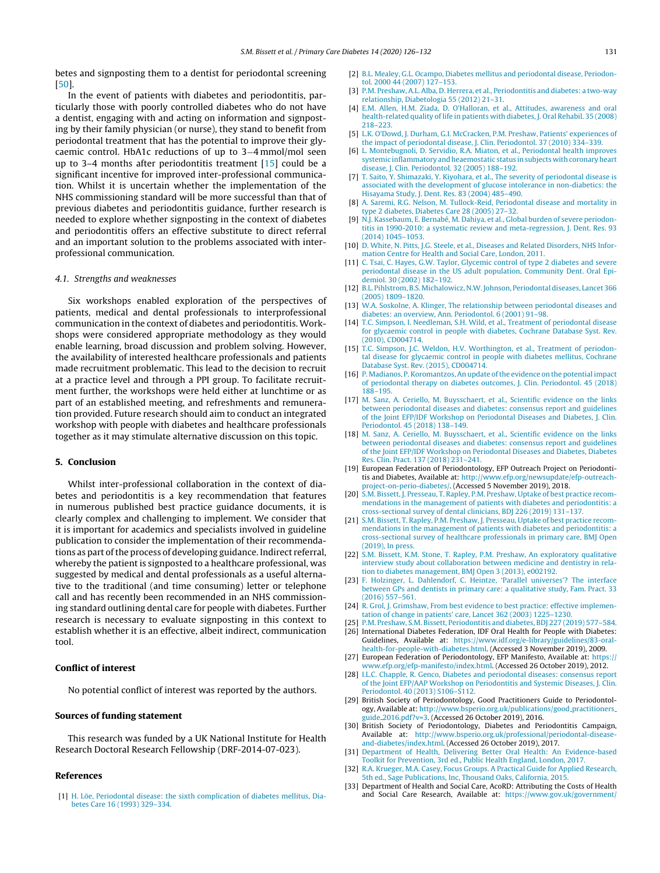<span id="page-5-0"></span>betes and signposting them to a dentist for periodontal screening [[50\].](#page-6-0)

In the event of patients with diabetes and periodontitis, particularly those with poorly controlled diabetes who do not have a dentist, engaging with and acting on information and signposting by their family physician (or nurse), they stand to benefit from periodontal treatment that has the potential to improve their glycaemic control. HbA1c reductions of up to 3−4 mmol/mol seen up to 3–4 months after periodontitis treatment [15] could be a significant incentive for improved inter-professional communication. Whilst it is uncertain whether the implementation of the NHS commissioning standard will be more successful than that of previous diabetes and periodontitis guidance, further research is needed to explore whether signposting in the context of diabetes and periodontitis offers an effective substitute to direct referral and an important solution to the problems associated with interprofessional communication.

#### 4.1. Strengths and weaknesses

Six workshops enabled exploration of the perspectives of patients, medical and dental professionals to interprofessional communication in the context of diabetes and periodontitis. Workshops were considered appropriate methodology as they would enable learning, broad discussion and problem solving. However, the availability of interested healthcare professionals and patients made recruitment problematic. This lead to the decision to recruit at a practice level and through a PPI group. To facilitate recruitment further, the workshops were held either at lunchtime or as part of an established meeting, and refreshments and remuneration provided. Future research should aim to conduct an integrated workshop with people with diabetes and healthcare professionals together as it may stimulate alternative discussion on this topic.

## **5. Conclusion**

Whilst inter-professional collaboration in the context of diabetes and periodontitis is a key recommendation that features in numerous published best practice guidance documents, it is clearly complex and challenging to implement. We consider that it is important for academics and specialists involved in guideline publication to consider the implementation of their recommendations as part of the process of developing guidance. Indirect referral, whereby the patient is signposted to a healthcare professional, was suggested by medical and dental professionals as a useful alternative to the traditional (and time consuming) letter or telephone call and has recently been recommended in an NHS commissioning standard outlining dental care for people with diabetes. Further research is necessary to evaluate signposting in this context to establish whether it is an effective, albeit indirect, communication tool.

## **Conflict of interest**

No potential conflict of interest was reported by the authors.

#### **Sources of funding statement**

This research was funded by a UK National Institute for Health Research Doctoral Research Fellowship (DRF-2014-07-023).

## **References**

[1] [H.](http://refhub.elsevier.com/S1751-9918(19)30429-2/sbref0005) [Löe,](http://refhub.elsevier.com/S1751-9918(19)30429-2/sbref0005) [Periodontal](http://refhub.elsevier.com/S1751-9918(19)30429-2/sbref0005) [disease:](http://refhub.elsevier.com/S1751-9918(19)30429-2/sbref0005) [the](http://refhub.elsevier.com/S1751-9918(19)30429-2/sbref0005) [sixth](http://refhub.elsevier.com/S1751-9918(19)30429-2/sbref0005) [complication](http://refhub.elsevier.com/S1751-9918(19)30429-2/sbref0005) [of](http://refhub.elsevier.com/S1751-9918(19)30429-2/sbref0005) [diabetes](http://refhub.elsevier.com/S1751-9918(19)30429-2/sbref0005) [mellitus,](http://refhub.elsevier.com/S1751-9918(19)30429-2/sbref0005) [Dia](http://refhub.elsevier.com/S1751-9918(19)30429-2/sbref0005)[betes](http://refhub.elsevier.com/S1751-9918(19)30429-2/sbref0005) [Care](http://refhub.elsevier.com/S1751-9918(19)30429-2/sbref0005) [16](http://refhub.elsevier.com/S1751-9918(19)30429-2/sbref0005) [\(1993\)](http://refhub.elsevier.com/S1751-9918(19)30429-2/sbref0005) [329–334.](http://refhub.elsevier.com/S1751-9918(19)30429-2/sbref0005)

- [2] [B.L.](http://refhub.elsevier.com/S1751-9918(19)30429-2/sbref0010) [Mealey,](http://refhub.elsevier.com/S1751-9918(19)30429-2/sbref0010) [G.L.](http://refhub.elsevier.com/S1751-9918(19)30429-2/sbref0010) [Ocampo,](http://refhub.elsevier.com/S1751-9918(19)30429-2/sbref0010) [Diabetes](http://refhub.elsevier.com/S1751-9918(19)30429-2/sbref0010) [mellitus](http://refhub.elsevier.com/S1751-9918(19)30429-2/sbref0010) [and](http://refhub.elsevier.com/S1751-9918(19)30429-2/sbref0010) [periodontal](http://refhub.elsevier.com/S1751-9918(19)30429-2/sbref0010) [disease,](http://refhub.elsevier.com/S1751-9918(19)30429-2/sbref0010) [Periodon](http://refhub.elsevier.com/S1751-9918(19)30429-2/sbref0010)[tol.](http://refhub.elsevier.com/S1751-9918(19)30429-2/sbref0010) [2000](http://refhub.elsevier.com/S1751-9918(19)30429-2/sbref0010) [44](http://refhub.elsevier.com/S1751-9918(19)30429-2/sbref0010) [\(2007\)](http://refhub.elsevier.com/S1751-9918(19)30429-2/sbref0010) [127](http://refhub.elsevier.com/S1751-9918(19)30429-2/sbref0010)–[153.](http://refhub.elsevier.com/S1751-9918(19)30429-2/sbref0010)
- [3] [P.M.](http://refhub.elsevier.com/S1751-9918(19)30429-2/sbref0015) [Preshaw,](http://refhub.elsevier.com/S1751-9918(19)30429-2/sbref0015) [A.L.](http://refhub.elsevier.com/S1751-9918(19)30429-2/sbref0015) [Alba,](http://refhub.elsevier.com/S1751-9918(19)30429-2/sbref0015) [D.](http://refhub.elsevier.com/S1751-9918(19)30429-2/sbref0015) [Herrera,](http://refhub.elsevier.com/S1751-9918(19)30429-2/sbref0015) [et](http://refhub.elsevier.com/S1751-9918(19)30429-2/sbref0015) [al.,](http://refhub.elsevier.com/S1751-9918(19)30429-2/sbref0015) [Periodontitis](http://refhub.elsevier.com/S1751-9918(19)30429-2/sbref0015) [and](http://refhub.elsevier.com/S1751-9918(19)30429-2/sbref0015) [diabetes:](http://refhub.elsevier.com/S1751-9918(19)30429-2/sbref0015) [a](http://refhub.elsevier.com/S1751-9918(19)30429-2/sbref0015) [two-way](http://refhub.elsevier.com/S1751-9918(19)30429-2/sbref0015) [relationship,](http://refhub.elsevier.com/S1751-9918(19)30429-2/sbref0015) [Diabetologia](http://refhub.elsevier.com/S1751-9918(19)30429-2/sbref0015) [55](http://refhub.elsevier.com/S1751-9918(19)30429-2/sbref0015) [\(2012\)](http://refhub.elsevier.com/S1751-9918(19)30429-2/sbref0015) [21–31.](http://refhub.elsevier.com/S1751-9918(19)30429-2/sbref0015)
- [4] [E.M.](http://refhub.elsevier.com/S1751-9918(19)30429-2/sbref0020) [Allen,](http://refhub.elsevier.com/S1751-9918(19)30429-2/sbref0020) [H.M.](http://refhub.elsevier.com/S1751-9918(19)30429-2/sbref0020) [Ziada,](http://refhub.elsevier.com/S1751-9918(19)30429-2/sbref0020) [D.](http://refhub.elsevier.com/S1751-9918(19)30429-2/sbref0020) [O'Halloran,](http://refhub.elsevier.com/S1751-9918(19)30429-2/sbref0020) [et](http://refhub.elsevier.com/S1751-9918(19)30429-2/sbref0020) [al.,](http://refhub.elsevier.com/S1751-9918(19)30429-2/sbref0020) [Attitudes,](http://refhub.elsevier.com/S1751-9918(19)30429-2/sbref0020) [awareness](http://refhub.elsevier.com/S1751-9918(19)30429-2/sbref0020) [and](http://refhub.elsevier.com/S1751-9918(19)30429-2/sbref0020) [oral](http://refhub.elsevier.com/S1751-9918(19)30429-2/sbref0020) [health-related](http://refhub.elsevier.com/S1751-9918(19)30429-2/sbref0020) [quality](http://refhub.elsevier.com/S1751-9918(19)30429-2/sbref0020) [of](http://refhub.elsevier.com/S1751-9918(19)30429-2/sbref0020) [life](http://refhub.elsevier.com/S1751-9918(19)30429-2/sbref0020) [in](http://refhub.elsevier.com/S1751-9918(19)30429-2/sbref0020) [patients](http://refhub.elsevier.com/S1751-9918(19)30429-2/sbref0020) [with](http://refhub.elsevier.com/S1751-9918(19)30429-2/sbref0020) [diabetes,](http://refhub.elsevier.com/S1751-9918(19)30429-2/sbref0020) [J.](http://refhub.elsevier.com/S1751-9918(19)30429-2/sbref0020) [Oral](http://refhub.elsevier.com/S1751-9918(19)30429-2/sbref0020) [Rehabil.](http://refhub.elsevier.com/S1751-9918(19)30429-2/sbref0020) [35](http://refhub.elsevier.com/S1751-9918(19)30429-2/sbref0020) [\(2008\)](http://refhub.elsevier.com/S1751-9918(19)30429-2/sbref0020) [218](http://refhub.elsevier.com/S1751-9918(19)30429-2/sbref0020)–[223.](http://refhub.elsevier.com/S1751-9918(19)30429-2/sbref0020)
- [5] [L.K.](http://refhub.elsevier.com/S1751-9918(19)30429-2/sbref0025) [O'Dowd,](http://refhub.elsevier.com/S1751-9918(19)30429-2/sbref0025) [J.](http://refhub.elsevier.com/S1751-9918(19)30429-2/sbref0025) [Durham,](http://refhub.elsevier.com/S1751-9918(19)30429-2/sbref0025) [G.I.](http://refhub.elsevier.com/S1751-9918(19)30429-2/sbref0025) [McCracken,](http://refhub.elsevier.com/S1751-9918(19)30429-2/sbref0025) [P.M.](http://refhub.elsevier.com/S1751-9918(19)30429-2/sbref0025) [Preshaw,](http://refhub.elsevier.com/S1751-9918(19)30429-2/sbref0025) [Patients'](http://refhub.elsevier.com/S1751-9918(19)30429-2/sbref0025) [experiences](http://refhub.elsevier.com/S1751-9918(19)30429-2/sbref0025) [of](http://refhub.elsevier.com/S1751-9918(19)30429-2/sbref0025) [the](http://refhub.elsevier.com/S1751-9918(19)30429-2/sbref0025) [impact](http://refhub.elsevier.com/S1751-9918(19)30429-2/sbref0025) [of](http://refhub.elsevier.com/S1751-9918(19)30429-2/sbref0025) [periodontal](http://refhub.elsevier.com/S1751-9918(19)30429-2/sbref0025) [disease,](http://refhub.elsevier.com/S1751-9918(19)30429-2/sbref0025) [J.](http://refhub.elsevier.com/S1751-9918(19)30429-2/sbref0025) [Clin.](http://refhub.elsevier.com/S1751-9918(19)30429-2/sbref0025) [Periodontol.](http://refhub.elsevier.com/S1751-9918(19)30429-2/sbref0025) [37](http://refhub.elsevier.com/S1751-9918(19)30429-2/sbref0025) [\(2010\)](http://refhub.elsevier.com/S1751-9918(19)30429-2/sbref0025) [334](http://refhub.elsevier.com/S1751-9918(19)30429-2/sbref0025)–[339.](http://refhub.elsevier.com/S1751-9918(19)30429-2/sbref0025)
- [6] [L.](http://refhub.elsevier.com/S1751-9918(19)30429-2/sbref0030) [Montebugnoli,](http://refhub.elsevier.com/S1751-9918(19)30429-2/sbref0030) [D.](http://refhub.elsevier.com/S1751-9918(19)30429-2/sbref0030) [Servidio,](http://refhub.elsevier.com/S1751-9918(19)30429-2/sbref0030) [R.A.](http://refhub.elsevier.com/S1751-9918(19)30429-2/sbref0030) [Miaton,](http://refhub.elsevier.com/S1751-9918(19)30429-2/sbref0030) [et](http://refhub.elsevier.com/S1751-9918(19)30429-2/sbref0030) [al.,](http://refhub.elsevier.com/S1751-9918(19)30429-2/sbref0030) [Periodontal](http://refhub.elsevier.com/S1751-9918(19)30429-2/sbref0030) [health](http://refhub.elsevier.com/S1751-9918(19)30429-2/sbref0030) [improves](http://refhub.elsevier.com/S1751-9918(19)30429-2/sbref0030) [systemic](http://refhub.elsevier.com/S1751-9918(19)30429-2/sbref0030) [inflammatory](http://refhub.elsevier.com/S1751-9918(19)30429-2/sbref0030) and heaemostatic [status](http://refhub.elsevier.com/S1751-9918(19)30429-2/sbref0030) in subjects with coronary heart [disease,](http://refhub.elsevier.com/S1751-9918(19)30429-2/sbref0030) [J.](http://refhub.elsevier.com/S1751-9918(19)30429-2/sbref0030) [Clin.](http://refhub.elsevier.com/S1751-9918(19)30429-2/sbref0030) [Periodontol.](http://refhub.elsevier.com/S1751-9918(19)30429-2/sbref0030) [32](http://refhub.elsevier.com/S1751-9918(19)30429-2/sbref0030) [\(2005\)](http://refhub.elsevier.com/S1751-9918(19)30429-2/sbref0030) [188–192.](http://refhub.elsevier.com/S1751-9918(19)30429-2/sbref0030)
- [7] [T.](http://refhub.elsevier.com/S1751-9918(19)30429-2/sbref0035) [Saito,](http://refhub.elsevier.com/S1751-9918(19)30429-2/sbref0035) [Y.](http://refhub.elsevier.com/S1751-9918(19)30429-2/sbref0035) [Shimazaki,](http://refhub.elsevier.com/S1751-9918(19)30429-2/sbref0035) [Y.](http://refhub.elsevier.com/S1751-9918(19)30429-2/sbref0035) [Kiyohara,](http://refhub.elsevier.com/S1751-9918(19)30429-2/sbref0035) [et](http://refhub.elsevier.com/S1751-9918(19)30429-2/sbref0035) [al.,](http://refhub.elsevier.com/S1751-9918(19)30429-2/sbref0035) [The](http://refhub.elsevier.com/S1751-9918(19)30429-2/sbref0035) [severity](http://refhub.elsevier.com/S1751-9918(19)30429-2/sbref0035) [of](http://refhub.elsevier.com/S1751-9918(19)30429-2/sbref0035) [periodontal](http://refhub.elsevier.com/S1751-9918(19)30429-2/sbref0035) [disease](http://refhub.elsevier.com/S1751-9918(19)30429-2/sbref0035) [is](http://refhub.elsevier.com/S1751-9918(19)30429-2/sbref0035) [associated](http://refhub.elsevier.com/S1751-9918(19)30429-2/sbref0035) [with](http://refhub.elsevier.com/S1751-9918(19)30429-2/sbref0035) [the](http://refhub.elsevier.com/S1751-9918(19)30429-2/sbref0035) [development](http://refhub.elsevier.com/S1751-9918(19)30429-2/sbref0035) [of](http://refhub.elsevier.com/S1751-9918(19)30429-2/sbref0035) [glucose](http://refhub.elsevier.com/S1751-9918(19)30429-2/sbref0035) [intolerance](http://refhub.elsevier.com/S1751-9918(19)30429-2/sbref0035) [in](http://refhub.elsevier.com/S1751-9918(19)30429-2/sbref0035) [non-diabetics:](http://refhub.elsevier.com/S1751-9918(19)30429-2/sbref0035) [the](http://refhub.elsevier.com/S1751-9918(19)30429-2/sbref0035) [Hisayama](http://refhub.elsevier.com/S1751-9918(19)30429-2/sbref0035) [Study,](http://refhub.elsevier.com/S1751-9918(19)30429-2/sbref0035) [J.](http://refhub.elsevier.com/S1751-9918(19)30429-2/sbref0035) [Dent.](http://refhub.elsevier.com/S1751-9918(19)30429-2/sbref0035) [Res.](http://refhub.elsevier.com/S1751-9918(19)30429-2/sbref0035) [83](http://refhub.elsevier.com/S1751-9918(19)30429-2/sbref0035) [\(2004\)](http://refhub.elsevier.com/S1751-9918(19)30429-2/sbref0035) [485–490.](http://refhub.elsevier.com/S1751-9918(19)30429-2/sbref0035)
- [8] [A.](http://refhub.elsevier.com/S1751-9918(19)30429-2/sbref0040) [Saremi,](http://refhub.elsevier.com/S1751-9918(19)30429-2/sbref0040) [R.G.](http://refhub.elsevier.com/S1751-9918(19)30429-2/sbref0040) [Nelson,](http://refhub.elsevier.com/S1751-9918(19)30429-2/sbref0040) [M.](http://refhub.elsevier.com/S1751-9918(19)30429-2/sbref0040) [Tullock-Reid,](http://refhub.elsevier.com/S1751-9918(19)30429-2/sbref0040) [Periodontal](http://refhub.elsevier.com/S1751-9918(19)30429-2/sbref0040) [disease](http://refhub.elsevier.com/S1751-9918(19)30429-2/sbref0040) [and](http://refhub.elsevier.com/S1751-9918(19)30429-2/sbref0040) [mortality](http://refhub.elsevier.com/S1751-9918(19)30429-2/sbref0040) [in](http://refhub.elsevier.com/S1751-9918(19)30429-2/sbref0040) [type](http://refhub.elsevier.com/S1751-9918(19)30429-2/sbref0040) [2](http://refhub.elsevier.com/S1751-9918(19)30429-2/sbref0040) [diabetes,](http://refhub.elsevier.com/S1751-9918(19)30429-2/sbref0040) [Diabetes](http://refhub.elsevier.com/S1751-9918(19)30429-2/sbref0040) [Care](http://refhub.elsevier.com/S1751-9918(19)30429-2/sbref0040) [28](http://refhub.elsevier.com/S1751-9918(19)30429-2/sbref0040) [\(2005\)](http://refhub.elsevier.com/S1751-9918(19)30429-2/sbref0040) [27–32.](http://refhub.elsevier.com/S1751-9918(19)30429-2/sbref0040)
- [9] [N.J.](http://refhub.elsevier.com/S1751-9918(19)30429-2/sbref0045) [Kassebaum,](http://refhub.elsevier.com/S1751-9918(19)30429-2/sbref0045) [E.](http://refhub.elsevier.com/S1751-9918(19)30429-2/sbref0045) [Bernabé,](http://refhub.elsevier.com/S1751-9918(19)30429-2/sbref0045) [M.](http://refhub.elsevier.com/S1751-9918(19)30429-2/sbref0045) [Dahiya,](http://refhub.elsevier.com/S1751-9918(19)30429-2/sbref0045) [et](http://refhub.elsevier.com/S1751-9918(19)30429-2/sbref0045) [al.,](http://refhub.elsevier.com/S1751-9918(19)30429-2/sbref0045) [Global](http://refhub.elsevier.com/S1751-9918(19)30429-2/sbref0045) [burden](http://refhub.elsevier.com/S1751-9918(19)30429-2/sbref0045) [of](http://refhub.elsevier.com/S1751-9918(19)30429-2/sbref0045) [severe](http://refhub.elsevier.com/S1751-9918(19)30429-2/sbref0045) [periodon](http://refhub.elsevier.com/S1751-9918(19)30429-2/sbref0045)[titis](http://refhub.elsevier.com/S1751-9918(19)30429-2/sbref0045) [in](http://refhub.elsevier.com/S1751-9918(19)30429-2/sbref0045) [1990-2010:](http://refhub.elsevier.com/S1751-9918(19)30429-2/sbref0045) [a](http://refhub.elsevier.com/S1751-9918(19)30429-2/sbref0045) [systematic](http://refhub.elsevier.com/S1751-9918(19)30429-2/sbref0045) [review](http://refhub.elsevier.com/S1751-9918(19)30429-2/sbref0045) [and](http://refhub.elsevier.com/S1751-9918(19)30429-2/sbref0045) [meta-regression,](http://refhub.elsevier.com/S1751-9918(19)30429-2/sbref0045) [J.](http://refhub.elsevier.com/S1751-9918(19)30429-2/sbref0045) [Dent.](http://refhub.elsevier.com/S1751-9918(19)30429-2/sbref0045) [Res.](http://refhub.elsevier.com/S1751-9918(19)30429-2/sbref0045) [93](http://refhub.elsevier.com/S1751-9918(19)30429-2/sbref0045) [\(2014\)](http://refhub.elsevier.com/S1751-9918(19)30429-2/sbref0045) [1045–1053.](http://refhub.elsevier.com/S1751-9918(19)30429-2/sbref0045)
- [10] [D.](http://refhub.elsevier.com/S1751-9918(19)30429-2/sbref0050) [White,](http://refhub.elsevier.com/S1751-9918(19)30429-2/sbref0050) [N.](http://refhub.elsevier.com/S1751-9918(19)30429-2/sbref0050) [Pitts,](http://refhub.elsevier.com/S1751-9918(19)30429-2/sbref0050) [J.G.](http://refhub.elsevier.com/S1751-9918(19)30429-2/sbref0050) [Steele,](http://refhub.elsevier.com/S1751-9918(19)30429-2/sbref0050) [et](http://refhub.elsevier.com/S1751-9918(19)30429-2/sbref0050) [al.,](http://refhub.elsevier.com/S1751-9918(19)30429-2/sbref0050) [Diseases](http://refhub.elsevier.com/S1751-9918(19)30429-2/sbref0050) [and](http://refhub.elsevier.com/S1751-9918(19)30429-2/sbref0050) [Related](http://refhub.elsevier.com/S1751-9918(19)30429-2/sbref0050) [Disorders,](http://refhub.elsevier.com/S1751-9918(19)30429-2/sbref0050) [NHS](http://refhub.elsevier.com/S1751-9918(19)30429-2/sbref0050) [Infor](http://refhub.elsevier.com/S1751-9918(19)30429-2/sbref0050)[mation](http://refhub.elsevier.com/S1751-9918(19)30429-2/sbref0050) [Centre](http://refhub.elsevier.com/S1751-9918(19)30429-2/sbref0050) [for](http://refhub.elsevier.com/S1751-9918(19)30429-2/sbref0050) [Health](http://refhub.elsevier.com/S1751-9918(19)30429-2/sbref0050) [and](http://refhub.elsevier.com/S1751-9918(19)30429-2/sbref0050) [Social](http://refhub.elsevier.com/S1751-9918(19)30429-2/sbref0050) [Care,](http://refhub.elsevier.com/S1751-9918(19)30429-2/sbref0050) [London,](http://refhub.elsevier.com/S1751-9918(19)30429-2/sbref0050) [2011.](http://refhub.elsevier.com/S1751-9918(19)30429-2/sbref0050)
- [11] [C.](http://refhub.elsevier.com/S1751-9918(19)30429-2/sbref0055) [Tsai,](http://refhub.elsevier.com/S1751-9918(19)30429-2/sbref0055) C. [Hayes,](http://refhub.elsevier.com/S1751-9918(19)30429-2/sbref0055) [G.W.](http://refhub.elsevier.com/S1751-9918(19)30429-2/sbref0055) [Taylor,](http://refhub.elsevier.com/S1751-9918(19)30429-2/sbref0055) [Glycemic](http://refhub.elsevier.com/S1751-9918(19)30429-2/sbref0055) [control](http://refhub.elsevier.com/S1751-9918(19)30429-2/sbref0055) [of](http://refhub.elsevier.com/S1751-9918(19)30429-2/sbref0055) [type](http://refhub.elsevier.com/S1751-9918(19)30429-2/sbref0055) [2](http://refhub.elsevier.com/S1751-9918(19)30429-2/sbref0055) [diabetes](http://refhub.elsevier.com/S1751-9918(19)30429-2/sbref0055) [and](http://refhub.elsevier.com/S1751-9918(19)30429-2/sbref0055) [severe](http://refhub.elsevier.com/S1751-9918(19)30429-2/sbref0055) [periodontal](http://refhub.elsevier.com/S1751-9918(19)30429-2/sbref0055) [disease](http://refhub.elsevier.com/S1751-9918(19)30429-2/sbref0055) [in](http://refhub.elsevier.com/S1751-9918(19)30429-2/sbref0055) [the](http://refhub.elsevier.com/S1751-9918(19)30429-2/sbref0055) [US](http://refhub.elsevier.com/S1751-9918(19)30429-2/sbref0055) [adult](http://refhub.elsevier.com/S1751-9918(19)30429-2/sbref0055) [population,](http://refhub.elsevier.com/S1751-9918(19)30429-2/sbref0055) [Community](http://refhub.elsevier.com/S1751-9918(19)30429-2/sbref0055) [Dent.](http://refhub.elsevier.com/S1751-9918(19)30429-2/sbref0055) [Oral](http://refhub.elsevier.com/S1751-9918(19)30429-2/sbref0055) [Epi](http://refhub.elsevier.com/S1751-9918(19)30429-2/sbref0055)[demiol.](http://refhub.elsevier.com/S1751-9918(19)30429-2/sbref0055) [30](http://refhub.elsevier.com/S1751-9918(19)30429-2/sbref0055) [\(2002\)](http://refhub.elsevier.com/S1751-9918(19)30429-2/sbref0055) [182](http://refhub.elsevier.com/S1751-9918(19)30429-2/sbref0055)–[192.](http://refhub.elsevier.com/S1751-9918(19)30429-2/sbref0055)
- [12] [B.L.](http://refhub.elsevier.com/S1751-9918(19)30429-2/sbref0060) [Pihlstrom,](http://refhub.elsevier.com/S1751-9918(19)30429-2/sbref0060) [B.S.](http://refhub.elsevier.com/S1751-9918(19)30429-2/sbref0060) [Michalowicz,](http://refhub.elsevier.com/S1751-9918(19)30429-2/sbref0060) [N.W.Johnson,](http://refhub.elsevier.com/S1751-9918(19)30429-2/sbref0060) [Periodontal](http://refhub.elsevier.com/S1751-9918(19)30429-2/sbref0060) [diseases,](http://refhub.elsevier.com/S1751-9918(19)30429-2/sbref0060) [Lancet](http://refhub.elsevier.com/S1751-9918(19)30429-2/sbref0060) [366](http://refhub.elsevier.com/S1751-9918(19)30429-2/sbref0060) [\(2005\)](http://refhub.elsevier.com/S1751-9918(19)30429-2/sbref0060) [1809](http://refhub.elsevier.com/S1751-9918(19)30429-2/sbref0060)–[1820.](http://refhub.elsevier.com/S1751-9918(19)30429-2/sbref0060)
- [13] [W.A.](http://refhub.elsevier.com/S1751-9918(19)30429-2/sbref0065) [Soskolne,](http://refhub.elsevier.com/S1751-9918(19)30429-2/sbref0065) [A.](http://refhub.elsevier.com/S1751-9918(19)30429-2/sbref0065) [Klinger,](http://refhub.elsevier.com/S1751-9918(19)30429-2/sbref0065) [The](http://refhub.elsevier.com/S1751-9918(19)30429-2/sbref0065) [relationship](http://refhub.elsevier.com/S1751-9918(19)30429-2/sbref0065) [between](http://refhub.elsevier.com/S1751-9918(19)30429-2/sbref0065) [periodontal](http://refhub.elsevier.com/S1751-9918(19)30429-2/sbref0065) [diseases](http://refhub.elsevier.com/S1751-9918(19)30429-2/sbref0065) [and](http://refhub.elsevier.com/S1751-9918(19)30429-2/sbref0065) [diabetes:](http://refhub.elsevier.com/S1751-9918(19)30429-2/sbref0065) [an](http://refhub.elsevier.com/S1751-9918(19)30429-2/sbref0065) [overview,](http://refhub.elsevier.com/S1751-9918(19)30429-2/sbref0065) [Ann.](http://refhub.elsevier.com/S1751-9918(19)30429-2/sbref0065) [Periodontol.](http://refhub.elsevier.com/S1751-9918(19)30429-2/sbref0065) [6](http://refhub.elsevier.com/S1751-9918(19)30429-2/sbref0065) [\(2001\)](http://refhub.elsevier.com/S1751-9918(19)30429-2/sbref0065) [91](http://refhub.elsevier.com/S1751-9918(19)30429-2/sbref0065)–[98.](http://refhub.elsevier.com/S1751-9918(19)30429-2/sbref0065)
- [14] [T.C.](http://refhub.elsevier.com/S1751-9918(19)30429-2/sbref0070) [Simpson,](http://refhub.elsevier.com/S1751-9918(19)30429-2/sbref0070) [I.](http://refhub.elsevier.com/S1751-9918(19)30429-2/sbref0070) [Needleman,](http://refhub.elsevier.com/S1751-9918(19)30429-2/sbref0070) [S.H.](http://refhub.elsevier.com/S1751-9918(19)30429-2/sbref0070) [Wild,](http://refhub.elsevier.com/S1751-9918(19)30429-2/sbref0070) [et](http://refhub.elsevier.com/S1751-9918(19)30429-2/sbref0070) [al.,](http://refhub.elsevier.com/S1751-9918(19)30429-2/sbref0070) [Treatment](http://refhub.elsevier.com/S1751-9918(19)30429-2/sbref0070) [of](http://refhub.elsevier.com/S1751-9918(19)30429-2/sbref0070) [periodontal](http://refhub.elsevier.com/S1751-9918(19)30429-2/sbref0070) [disease](http://refhub.elsevier.com/S1751-9918(19)30429-2/sbref0070) [for](http://refhub.elsevier.com/S1751-9918(19)30429-2/sbref0070) [glycaemic](http://refhub.elsevier.com/S1751-9918(19)30429-2/sbref0070) [control](http://refhub.elsevier.com/S1751-9918(19)30429-2/sbref0070) [in](http://refhub.elsevier.com/S1751-9918(19)30429-2/sbref0070) [people](http://refhub.elsevier.com/S1751-9918(19)30429-2/sbref0070) [with](http://refhub.elsevier.com/S1751-9918(19)30429-2/sbref0070) [diabetes,](http://refhub.elsevier.com/S1751-9918(19)30429-2/sbref0070) [Cochrane](http://refhub.elsevier.com/S1751-9918(19)30429-2/sbref0070) [Database](http://refhub.elsevier.com/S1751-9918(19)30429-2/sbref0070) [Syst.](http://refhub.elsevier.com/S1751-9918(19)30429-2/sbref0070) [Rev.](http://refhub.elsevier.com/S1751-9918(19)30429-2/sbref0070) [\(2010\),](http://refhub.elsevier.com/S1751-9918(19)30429-2/sbref0070) [CD004714.](http://refhub.elsevier.com/S1751-9918(19)30429-2/sbref0070)
- [15] [T.C.](http://refhub.elsevier.com/S1751-9918(19)30429-2/sbref0075) [Simpson,](http://refhub.elsevier.com/S1751-9918(19)30429-2/sbref0075) [J.C.](http://refhub.elsevier.com/S1751-9918(19)30429-2/sbref0075) [Weldon,](http://refhub.elsevier.com/S1751-9918(19)30429-2/sbref0075) [H.V.](http://refhub.elsevier.com/S1751-9918(19)30429-2/sbref0075) [Worthington,](http://refhub.elsevier.com/S1751-9918(19)30429-2/sbref0075) [et](http://refhub.elsevier.com/S1751-9918(19)30429-2/sbref0075) [al.,](http://refhub.elsevier.com/S1751-9918(19)30429-2/sbref0075) [Treatment](http://refhub.elsevier.com/S1751-9918(19)30429-2/sbref0075) [of](http://refhub.elsevier.com/S1751-9918(19)30429-2/sbref0075) [periodon](http://refhub.elsevier.com/S1751-9918(19)30429-2/sbref0075)[tal](http://refhub.elsevier.com/S1751-9918(19)30429-2/sbref0075) [disease](http://refhub.elsevier.com/S1751-9918(19)30429-2/sbref0075) [for](http://refhub.elsevier.com/S1751-9918(19)30429-2/sbref0075) [glycaemic](http://refhub.elsevier.com/S1751-9918(19)30429-2/sbref0075) [control](http://refhub.elsevier.com/S1751-9918(19)30429-2/sbref0075) [in](http://refhub.elsevier.com/S1751-9918(19)30429-2/sbref0075) [people](http://refhub.elsevier.com/S1751-9918(19)30429-2/sbref0075) [with](http://refhub.elsevier.com/S1751-9918(19)30429-2/sbref0075) [diabetes](http://refhub.elsevier.com/S1751-9918(19)30429-2/sbref0075) [mellitus,](http://refhub.elsevier.com/S1751-9918(19)30429-2/sbref0075) [Cochrane](http://refhub.elsevier.com/S1751-9918(19)30429-2/sbref0075) [Database](http://refhub.elsevier.com/S1751-9918(19)30429-2/sbref0075) [Syst.](http://refhub.elsevier.com/S1751-9918(19)30429-2/sbref0075) [Rev.](http://refhub.elsevier.com/S1751-9918(19)30429-2/sbref0075) [\(2015\),](http://refhub.elsevier.com/S1751-9918(19)30429-2/sbref0075) [CD004714.](http://refhub.elsevier.com/S1751-9918(19)30429-2/sbref0075)
- [16] [P.](http://refhub.elsevier.com/S1751-9918(19)30429-2/sbref0080) [Madianos,](http://refhub.elsevier.com/S1751-9918(19)30429-2/sbref0080) P. Koromantzos, An [update](http://refhub.elsevier.com/S1751-9918(19)30429-2/sbref0080) of the [evidence](http://refhub.elsevier.com/S1751-9918(19)30429-2/sbref0080) [on](http://refhub.elsevier.com/S1751-9918(19)30429-2/sbref0080) [the](http://refhub.elsevier.com/S1751-9918(19)30429-2/sbref0080) [potential](http://refhub.elsevier.com/S1751-9918(19)30429-2/sbref0080) [impact](http://refhub.elsevier.com/S1751-9918(19)30429-2/sbref0080) [of](http://refhub.elsevier.com/S1751-9918(19)30429-2/sbref0080) [periodontal](http://refhub.elsevier.com/S1751-9918(19)30429-2/sbref0080) [therapy](http://refhub.elsevier.com/S1751-9918(19)30429-2/sbref0080) [on](http://refhub.elsevier.com/S1751-9918(19)30429-2/sbref0080) [diabetes](http://refhub.elsevier.com/S1751-9918(19)30429-2/sbref0080) [outcomes,](http://refhub.elsevier.com/S1751-9918(19)30429-2/sbref0080) [J.](http://refhub.elsevier.com/S1751-9918(19)30429-2/sbref0080) [Clin.](http://refhub.elsevier.com/S1751-9918(19)30429-2/sbref0080) [Periodontol.](http://refhub.elsevier.com/S1751-9918(19)30429-2/sbref0080) [45](http://refhub.elsevier.com/S1751-9918(19)30429-2/sbref0080) [\(2018\)](http://refhub.elsevier.com/S1751-9918(19)30429-2/sbref0080) [188](http://refhub.elsevier.com/S1751-9918(19)30429-2/sbref0080)–[195.](http://refhub.elsevier.com/S1751-9918(19)30429-2/sbref0080)
- [17] [M.](http://refhub.elsevier.com/S1751-9918(19)30429-2/sbref0085) [Sanz,](http://refhub.elsevier.com/S1751-9918(19)30429-2/sbref0085) [A.](http://refhub.elsevier.com/S1751-9918(19)30429-2/sbref0085) [Ceriello,](http://refhub.elsevier.com/S1751-9918(19)30429-2/sbref0085) M. [Buysschaert,](http://refhub.elsevier.com/S1751-9918(19)30429-2/sbref0085) [et](http://refhub.elsevier.com/S1751-9918(19)30429-2/sbref0085) [al.,](http://refhub.elsevier.com/S1751-9918(19)30429-2/sbref0085) [Scientific](http://refhub.elsevier.com/S1751-9918(19)30429-2/sbref0085) [evidence](http://refhub.elsevier.com/S1751-9918(19)30429-2/sbref0085) [on](http://refhub.elsevier.com/S1751-9918(19)30429-2/sbref0085) [the](http://refhub.elsevier.com/S1751-9918(19)30429-2/sbref0085) [links](http://refhub.elsevier.com/S1751-9918(19)30429-2/sbref0085) [between](http://refhub.elsevier.com/S1751-9918(19)30429-2/sbref0085) [periodontal](http://refhub.elsevier.com/S1751-9918(19)30429-2/sbref0085) [diseases](http://refhub.elsevier.com/S1751-9918(19)30429-2/sbref0085) [and](http://refhub.elsevier.com/S1751-9918(19)30429-2/sbref0085) [diabetes:](http://refhub.elsevier.com/S1751-9918(19)30429-2/sbref0085) [consensus](http://refhub.elsevier.com/S1751-9918(19)30429-2/sbref0085) [report](http://refhub.elsevier.com/S1751-9918(19)30429-2/sbref0085) [and](http://refhub.elsevier.com/S1751-9918(19)30429-2/sbref0085) [guidelines](http://refhub.elsevier.com/S1751-9918(19)30429-2/sbref0085) [of](http://refhub.elsevier.com/S1751-9918(19)30429-2/sbref0085) [the](http://refhub.elsevier.com/S1751-9918(19)30429-2/sbref0085) [Joint](http://refhub.elsevier.com/S1751-9918(19)30429-2/sbref0085) [EFP/IDF](http://refhub.elsevier.com/S1751-9918(19)30429-2/sbref0085) [Workshop](http://refhub.elsevier.com/S1751-9918(19)30429-2/sbref0085) [on](http://refhub.elsevier.com/S1751-9918(19)30429-2/sbref0085) [Periodontal](http://refhub.elsevier.com/S1751-9918(19)30429-2/sbref0085) [Diseases](http://refhub.elsevier.com/S1751-9918(19)30429-2/sbref0085) [and](http://refhub.elsevier.com/S1751-9918(19)30429-2/sbref0085) [Diabetes,](http://refhub.elsevier.com/S1751-9918(19)30429-2/sbref0085) [J.](http://refhub.elsevier.com/S1751-9918(19)30429-2/sbref0085) [Clin.](http://refhub.elsevier.com/S1751-9918(19)30429-2/sbref0085) [Periodontol.](http://refhub.elsevier.com/S1751-9918(19)30429-2/sbref0085) [45](http://refhub.elsevier.com/S1751-9918(19)30429-2/sbref0085) [\(2018\)](http://refhub.elsevier.com/S1751-9918(19)30429-2/sbref0085) [138](http://refhub.elsevier.com/S1751-9918(19)30429-2/sbref0085)–[149.](http://refhub.elsevier.com/S1751-9918(19)30429-2/sbref0085)
- [18] [M.](http://refhub.elsevier.com/S1751-9918(19)30429-2/sbref0090) [Sanz,](http://refhub.elsevier.com/S1751-9918(19)30429-2/sbref0090) [A.](http://refhub.elsevier.com/S1751-9918(19)30429-2/sbref0090) [Ceriello,](http://refhub.elsevier.com/S1751-9918(19)30429-2/sbref0090) [M.](http://refhub.elsevier.com/S1751-9918(19)30429-2/sbref0090) [Buysschaert,](http://refhub.elsevier.com/S1751-9918(19)30429-2/sbref0090) [et](http://refhub.elsevier.com/S1751-9918(19)30429-2/sbref0090) [al.,](http://refhub.elsevier.com/S1751-9918(19)30429-2/sbref0090) [Scientific](http://refhub.elsevier.com/S1751-9918(19)30429-2/sbref0090) [evidence](http://refhub.elsevier.com/S1751-9918(19)30429-2/sbref0090) [on](http://refhub.elsevier.com/S1751-9918(19)30429-2/sbref0090) [the](http://refhub.elsevier.com/S1751-9918(19)30429-2/sbref0090) [links](http://refhub.elsevier.com/S1751-9918(19)30429-2/sbref0090) [between](http://refhub.elsevier.com/S1751-9918(19)30429-2/sbref0090) [periodontal](http://refhub.elsevier.com/S1751-9918(19)30429-2/sbref0090) [diseases](http://refhub.elsevier.com/S1751-9918(19)30429-2/sbref0090) [and](http://refhub.elsevier.com/S1751-9918(19)30429-2/sbref0090) [diabetes:](http://refhub.elsevier.com/S1751-9918(19)30429-2/sbref0090) [consensus](http://refhub.elsevier.com/S1751-9918(19)30429-2/sbref0090) [report](http://refhub.elsevier.com/S1751-9918(19)30429-2/sbref0090) [and](http://refhub.elsevier.com/S1751-9918(19)30429-2/sbref0090) [guidelines](http://refhub.elsevier.com/S1751-9918(19)30429-2/sbref0090) [of](http://refhub.elsevier.com/S1751-9918(19)30429-2/sbref0090) [the](http://refhub.elsevier.com/S1751-9918(19)30429-2/sbref0090) [Joint](http://refhub.elsevier.com/S1751-9918(19)30429-2/sbref0090) [EFP/IDF](http://refhub.elsevier.com/S1751-9918(19)30429-2/sbref0090) [Workshop](http://refhub.elsevier.com/S1751-9918(19)30429-2/sbref0090) [on](http://refhub.elsevier.com/S1751-9918(19)30429-2/sbref0090) [Periodontal](http://refhub.elsevier.com/S1751-9918(19)30429-2/sbref0090) [Diseases](http://refhub.elsevier.com/S1751-9918(19)30429-2/sbref0090) [and](http://refhub.elsevier.com/S1751-9918(19)30429-2/sbref0090) [Diabetes,](http://refhub.elsevier.com/S1751-9918(19)30429-2/sbref0090) [Diabetes](http://refhub.elsevier.com/S1751-9918(19)30429-2/sbref0090) [Res.](http://refhub.elsevier.com/S1751-9918(19)30429-2/sbref0090) [Clin.](http://refhub.elsevier.com/S1751-9918(19)30429-2/sbref0090) [Pract.](http://refhub.elsevier.com/S1751-9918(19)30429-2/sbref0090) [137](http://refhub.elsevier.com/S1751-9918(19)30429-2/sbref0090) [\(2018\)](http://refhub.elsevier.com/S1751-9918(19)30429-2/sbref0090) [231–241.](http://refhub.elsevier.com/S1751-9918(19)30429-2/sbref0090)
- [19] European Federation of Periodontology, EFP Outreach Project on Periodontitis and Diabetes, Available at: [http://www.efp.org/newsupdate/efp-outreach](http://www.efp.org/newsupdate/efp-outreach-project-on-perio-diabetes/)[project-on-perio-diabetes/.](http://www.efp.org/newsupdate/efp-outreach-project-on-perio-diabetes/) (Accessed 5 November 2019), 2018.
- [20] [S.M.](http://refhub.elsevier.com/S1751-9918(19)30429-2/sbref0100) [Bissett,](http://refhub.elsevier.com/S1751-9918(19)30429-2/sbref0100) [J.](http://refhub.elsevier.com/S1751-9918(19)30429-2/sbref0100) [Presseau,](http://refhub.elsevier.com/S1751-9918(19)30429-2/sbref0100) [T.](http://refhub.elsevier.com/S1751-9918(19)30429-2/sbref0100) [Rapley,](http://refhub.elsevier.com/S1751-9918(19)30429-2/sbref0100) [P.M.](http://refhub.elsevier.com/S1751-9918(19)30429-2/sbref0100) [Preshaw,](http://refhub.elsevier.com/S1751-9918(19)30429-2/sbref0100) [Uptake](http://refhub.elsevier.com/S1751-9918(19)30429-2/sbref0100) [of](http://refhub.elsevier.com/S1751-9918(19)30429-2/sbref0100) [best](http://refhub.elsevier.com/S1751-9918(19)30429-2/sbref0100) [practice](http://refhub.elsevier.com/S1751-9918(19)30429-2/sbref0100) [recom](http://refhub.elsevier.com/S1751-9918(19)30429-2/sbref0100)[mendations](http://refhub.elsevier.com/S1751-9918(19)30429-2/sbref0100) [in](http://refhub.elsevier.com/S1751-9918(19)30429-2/sbref0100) [the](http://refhub.elsevier.com/S1751-9918(19)30429-2/sbref0100) [management](http://refhub.elsevier.com/S1751-9918(19)30429-2/sbref0100) [of](http://refhub.elsevier.com/S1751-9918(19)30429-2/sbref0100) [patients](http://refhub.elsevier.com/S1751-9918(19)30429-2/sbref0100) [with](http://refhub.elsevier.com/S1751-9918(19)30429-2/sbref0100) [diabetes](http://refhub.elsevier.com/S1751-9918(19)30429-2/sbref0100) [and](http://refhub.elsevier.com/S1751-9918(19)30429-2/sbref0100) [periodontitis:](http://refhub.elsevier.com/S1751-9918(19)30429-2/sbref0100) [a](http://refhub.elsevier.com/S1751-9918(19)30429-2/sbref0100) [cross-sectional](http://refhub.elsevier.com/S1751-9918(19)30429-2/sbref0100) [survey](http://refhub.elsevier.com/S1751-9918(19)30429-2/sbref0100) [of](http://refhub.elsevier.com/S1751-9918(19)30429-2/sbref0100) [dental](http://refhub.elsevier.com/S1751-9918(19)30429-2/sbref0100) [clinicians,](http://refhub.elsevier.com/S1751-9918(19)30429-2/sbref0100) [BDJ](http://refhub.elsevier.com/S1751-9918(19)30429-2/sbref0100) [226](http://refhub.elsevier.com/S1751-9918(19)30429-2/sbref0100) [\(2019\)](http://refhub.elsevier.com/S1751-9918(19)30429-2/sbref0100) [131–137.](http://refhub.elsevier.com/S1751-9918(19)30429-2/sbref0100)
- [21] [S.M.](http://refhub.elsevier.com/S1751-9918(19)30429-2/sbref0105) [Bissett,](http://refhub.elsevier.com/S1751-9918(19)30429-2/sbref0105) [T.](http://refhub.elsevier.com/S1751-9918(19)30429-2/sbref0105) [Rapley,](http://refhub.elsevier.com/S1751-9918(19)30429-2/sbref0105) [P.M.](http://refhub.elsevier.com/S1751-9918(19)30429-2/sbref0105) [Preshaw,](http://refhub.elsevier.com/S1751-9918(19)30429-2/sbref0105) [J.](http://refhub.elsevier.com/S1751-9918(19)30429-2/sbref0105) [Presseau,](http://refhub.elsevier.com/S1751-9918(19)30429-2/sbref0105) [Uptake](http://refhub.elsevier.com/S1751-9918(19)30429-2/sbref0105) [of](http://refhub.elsevier.com/S1751-9918(19)30429-2/sbref0105) [best](http://refhub.elsevier.com/S1751-9918(19)30429-2/sbref0105) [practice](http://refhub.elsevier.com/S1751-9918(19)30429-2/sbref0105) [recom](http://refhub.elsevier.com/S1751-9918(19)30429-2/sbref0105)[mendations](http://refhub.elsevier.com/S1751-9918(19)30429-2/sbref0105) [in](http://refhub.elsevier.com/S1751-9918(19)30429-2/sbref0105) [the](http://refhub.elsevier.com/S1751-9918(19)30429-2/sbref0105) [management](http://refhub.elsevier.com/S1751-9918(19)30429-2/sbref0105) [of](http://refhub.elsevier.com/S1751-9918(19)30429-2/sbref0105) [patients](http://refhub.elsevier.com/S1751-9918(19)30429-2/sbref0105) [with](http://refhub.elsevier.com/S1751-9918(19)30429-2/sbref0105) [diabetes](http://refhub.elsevier.com/S1751-9918(19)30429-2/sbref0105) [and](http://refhub.elsevier.com/S1751-9918(19)30429-2/sbref0105) [periodontitis:](http://refhub.elsevier.com/S1751-9918(19)30429-2/sbref0105) [a](http://refhub.elsevier.com/S1751-9918(19)30429-2/sbref0105) [cross-sectional](http://refhub.elsevier.com/S1751-9918(19)30429-2/sbref0105) [survey](http://refhub.elsevier.com/S1751-9918(19)30429-2/sbref0105) [of](http://refhub.elsevier.com/S1751-9918(19)30429-2/sbref0105) [healthcare](http://refhub.elsevier.com/S1751-9918(19)30429-2/sbref0105) [professionals](http://refhub.elsevier.com/S1751-9918(19)30429-2/sbref0105) [in](http://refhub.elsevier.com/S1751-9918(19)30429-2/sbref0105) [primary](http://refhub.elsevier.com/S1751-9918(19)30429-2/sbref0105) [care,](http://refhub.elsevier.com/S1751-9918(19)30429-2/sbref0105) [BMJ](http://refhub.elsevier.com/S1751-9918(19)30429-2/sbref0105) [Open](http://refhub.elsevier.com/S1751-9918(19)30429-2/sbref0105) [\(2019\),](http://refhub.elsevier.com/S1751-9918(19)30429-2/sbref0105) [In](http://refhub.elsevier.com/S1751-9918(19)30429-2/sbref0105) [press.](http://refhub.elsevier.com/S1751-9918(19)30429-2/sbref0105)
- [22] [S.M.](http://refhub.elsevier.com/S1751-9918(19)30429-2/sbref0110) [Bissett,](http://refhub.elsevier.com/S1751-9918(19)30429-2/sbref0110) [K.M.](http://refhub.elsevier.com/S1751-9918(19)30429-2/sbref0110) [Stone,](http://refhub.elsevier.com/S1751-9918(19)30429-2/sbref0110) [T.](http://refhub.elsevier.com/S1751-9918(19)30429-2/sbref0110) [Rapley,](http://refhub.elsevier.com/S1751-9918(19)30429-2/sbref0110) [P.M.](http://refhub.elsevier.com/S1751-9918(19)30429-2/sbref0110) [Preshaw,](http://refhub.elsevier.com/S1751-9918(19)30429-2/sbref0110) [An](http://refhub.elsevier.com/S1751-9918(19)30429-2/sbref0110) [exploratory](http://refhub.elsevier.com/S1751-9918(19)30429-2/sbref0110) [qualitative](http://refhub.elsevier.com/S1751-9918(19)30429-2/sbref0110) [interview](http://refhub.elsevier.com/S1751-9918(19)30429-2/sbref0110) [study](http://refhub.elsevier.com/S1751-9918(19)30429-2/sbref0110) [about](http://refhub.elsevier.com/S1751-9918(19)30429-2/sbref0110) [collaboration](http://refhub.elsevier.com/S1751-9918(19)30429-2/sbref0110) [between](http://refhub.elsevier.com/S1751-9918(19)30429-2/sbref0110) [medicine](http://refhub.elsevier.com/S1751-9918(19)30429-2/sbref0110) [and](http://refhub.elsevier.com/S1751-9918(19)30429-2/sbref0110) [dentistry](http://refhub.elsevier.com/S1751-9918(19)30429-2/sbref0110) [in](http://refhub.elsevier.com/S1751-9918(19)30429-2/sbref0110) [rela](http://refhub.elsevier.com/S1751-9918(19)30429-2/sbref0110)[tion](http://refhub.elsevier.com/S1751-9918(19)30429-2/sbref0110) [to](http://refhub.elsevier.com/S1751-9918(19)30429-2/sbref0110) [diabetes](http://refhub.elsevier.com/S1751-9918(19)30429-2/sbref0110) [management,](http://refhub.elsevier.com/S1751-9918(19)30429-2/sbref0110) [BMJ](http://refhub.elsevier.com/S1751-9918(19)30429-2/sbref0110) [Open](http://refhub.elsevier.com/S1751-9918(19)30429-2/sbref0110) [3](http://refhub.elsevier.com/S1751-9918(19)30429-2/sbref0110) [\(2013\),](http://refhub.elsevier.com/S1751-9918(19)30429-2/sbref0110) [e002192.](http://refhub.elsevier.com/S1751-9918(19)30429-2/sbref0110)
- [23] [F.](http://refhub.elsevier.com/S1751-9918(19)30429-2/sbref0115) [Holzinger,](http://refhub.elsevier.com/S1751-9918(19)30429-2/sbref0115) [L.](http://refhub.elsevier.com/S1751-9918(19)30429-2/sbref0115) [Dahlendorf,](http://refhub.elsevier.com/S1751-9918(19)30429-2/sbref0115) [C.](http://refhub.elsevier.com/S1751-9918(19)30429-2/sbref0115) [Heintze,](http://refhub.elsevier.com/S1751-9918(19)30429-2/sbref0115) ['Parallel](http://refhub.elsevier.com/S1751-9918(19)30429-2/sbref0115) [universes'?](http://refhub.elsevier.com/S1751-9918(19)30429-2/sbref0115) [The](http://refhub.elsevier.com/S1751-9918(19)30429-2/sbref0115) [interface](http://refhub.elsevier.com/S1751-9918(19)30429-2/sbref0115) [between](http://refhub.elsevier.com/S1751-9918(19)30429-2/sbref0115) [GPs](http://refhub.elsevier.com/S1751-9918(19)30429-2/sbref0115) [and](http://refhub.elsevier.com/S1751-9918(19)30429-2/sbref0115) [dentists](http://refhub.elsevier.com/S1751-9918(19)30429-2/sbref0115) [in](http://refhub.elsevier.com/S1751-9918(19)30429-2/sbref0115) [primary](http://refhub.elsevier.com/S1751-9918(19)30429-2/sbref0115) [care:](http://refhub.elsevier.com/S1751-9918(19)30429-2/sbref0115) [a](http://refhub.elsevier.com/S1751-9918(19)30429-2/sbref0115) [qualitative](http://refhub.elsevier.com/S1751-9918(19)30429-2/sbref0115) [study,](http://refhub.elsevier.com/S1751-9918(19)30429-2/sbref0115) [Fam.](http://refhub.elsevier.com/S1751-9918(19)30429-2/sbref0115) [Pract.](http://refhub.elsevier.com/S1751-9918(19)30429-2/sbref0115) [33](http://refhub.elsevier.com/S1751-9918(19)30429-2/sbref0115) [\(2016\)](http://refhub.elsevier.com/S1751-9918(19)30429-2/sbref0115) [557](http://refhub.elsevier.com/S1751-9918(19)30429-2/sbref0115)–[561.](http://refhub.elsevier.com/S1751-9918(19)30429-2/sbref0115)
- [24] [R.](http://refhub.elsevier.com/S1751-9918(19)30429-2/sbref0120) [Grol,](http://refhub.elsevier.com/S1751-9918(19)30429-2/sbref0120) [J.](http://refhub.elsevier.com/S1751-9918(19)30429-2/sbref0120) [Grimshaw,](http://refhub.elsevier.com/S1751-9918(19)30429-2/sbref0120) [From](http://refhub.elsevier.com/S1751-9918(19)30429-2/sbref0120) [best](http://refhub.elsevier.com/S1751-9918(19)30429-2/sbref0120) [evidence](http://refhub.elsevier.com/S1751-9918(19)30429-2/sbref0120) [to](http://refhub.elsevier.com/S1751-9918(19)30429-2/sbref0120) [best](http://refhub.elsevier.com/S1751-9918(19)30429-2/sbref0120) [practice:](http://refhub.elsevier.com/S1751-9918(19)30429-2/sbref0120) [effective](http://refhub.elsevier.com/S1751-9918(19)30429-2/sbref0120) [implemen](http://refhub.elsevier.com/S1751-9918(19)30429-2/sbref0120)[tation](http://refhub.elsevier.com/S1751-9918(19)30429-2/sbref0120) [of](http://refhub.elsevier.com/S1751-9918(19)30429-2/sbref0120) [change](http://refhub.elsevier.com/S1751-9918(19)30429-2/sbref0120) [in](http://refhub.elsevier.com/S1751-9918(19)30429-2/sbref0120) [patients'](http://refhub.elsevier.com/S1751-9918(19)30429-2/sbref0120) [care,](http://refhub.elsevier.com/S1751-9918(19)30429-2/sbref0120) [Lancet](http://refhub.elsevier.com/S1751-9918(19)30429-2/sbref0120) [362](http://refhub.elsevier.com/S1751-9918(19)30429-2/sbref0120) [\(2003\)](http://refhub.elsevier.com/S1751-9918(19)30429-2/sbref0120) [1225](http://refhub.elsevier.com/S1751-9918(19)30429-2/sbref0120)–[1230.](http://refhub.elsevier.com/S1751-9918(19)30429-2/sbref0120)
- [25] [P.M.](http://refhub.elsevier.com/S1751-9918(19)30429-2/sbref0125) [Preshaw,](http://refhub.elsevier.com/S1751-9918(19)30429-2/sbref0125) [S.M.](http://refhub.elsevier.com/S1751-9918(19)30429-2/sbref0125) [Bissett,](http://refhub.elsevier.com/S1751-9918(19)30429-2/sbref0125) [Periodontitis](http://refhub.elsevier.com/S1751-9918(19)30429-2/sbref0125) [and](http://refhub.elsevier.com/S1751-9918(19)30429-2/sbref0125) [diabetes,](http://refhub.elsevier.com/S1751-9918(19)30429-2/sbref0125) [BDJ](http://refhub.elsevier.com/S1751-9918(19)30429-2/sbref0125) [227](http://refhub.elsevier.com/S1751-9918(19)30429-2/sbref0125) [\(2019\)](http://refhub.elsevier.com/S1751-9918(19)30429-2/sbref0125) [577](http://refhub.elsevier.com/S1751-9918(19)30429-2/sbref0125)-[584.](http://refhub.elsevier.com/S1751-9918(19)30429-2/sbref0125) [26] International Diabetes Federation, IDF Oral Health for People with Diabetes: Guidelines, Available at: [https://www.idf.org/e-library/guidelines/83-oral-](https://www.idf.org/e-library/guidelines/83-oral-health-for-people-with-diabetes.html)
- [health-for-people-with-diabetes.html.](https://www.idf.org/e-library/guidelines/83-oral-health-for-people-with-diabetes.html) (Accessed 3 November 2019), 2009. [27] European Federation of Periodontology, EFP Manifesto, Available at: [https://](https://www.efp.org/efp-manifesto/index.html) [www.efp.org/efp-manifesto/index.html](https://www.efp.org/efp-manifesto/index.html). (Accessed 26 October 2019), 2012.
- [28] [I.L.C.](http://refhub.elsevier.com/S1751-9918(19)30429-2/sbref0140) [Chapple,](http://refhub.elsevier.com/S1751-9918(19)30429-2/sbref0140) [R.](http://refhub.elsevier.com/S1751-9918(19)30429-2/sbref0140) [Genco,](http://refhub.elsevier.com/S1751-9918(19)30429-2/sbref0140) [Diabetes](http://refhub.elsevier.com/S1751-9918(19)30429-2/sbref0140) [and](http://refhub.elsevier.com/S1751-9918(19)30429-2/sbref0140) [periodontal](http://refhub.elsevier.com/S1751-9918(19)30429-2/sbref0140) [diseases:](http://refhub.elsevier.com/S1751-9918(19)30429-2/sbref0140) [consensus](http://refhub.elsevier.com/S1751-9918(19)30429-2/sbref0140) [report](http://refhub.elsevier.com/S1751-9918(19)30429-2/sbref0140) [of](http://refhub.elsevier.com/S1751-9918(19)30429-2/sbref0140) [the](http://refhub.elsevier.com/S1751-9918(19)30429-2/sbref0140) [Joint](http://refhub.elsevier.com/S1751-9918(19)30429-2/sbref0140) [EFP/AAP](http://refhub.elsevier.com/S1751-9918(19)30429-2/sbref0140) [Workshop](http://refhub.elsevier.com/S1751-9918(19)30429-2/sbref0140) [on](http://refhub.elsevier.com/S1751-9918(19)30429-2/sbref0140) [Periodontitis](http://refhub.elsevier.com/S1751-9918(19)30429-2/sbref0140) [and](http://refhub.elsevier.com/S1751-9918(19)30429-2/sbref0140) [Systemic](http://refhub.elsevier.com/S1751-9918(19)30429-2/sbref0140) [Diseases,](http://refhub.elsevier.com/S1751-9918(19)30429-2/sbref0140) [J.](http://refhub.elsevier.com/S1751-9918(19)30429-2/sbref0140) [Clin.](http://refhub.elsevier.com/S1751-9918(19)30429-2/sbref0140) [Periodontol.](http://refhub.elsevier.com/S1751-9918(19)30429-2/sbref0140) [40](http://refhub.elsevier.com/S1751-9918(19)30429-2/sbref0140) [\(2013\)](http://refhub.elsevier.com/S1751-9918(19)30429-2/sbref0140) [S106–S112.](http://refhub.elsevier.com/S1751-9918(19)30429-2/sbref0140)
- [29] British Society of Periodontology, Good Practitioners Guide to Periodontology, Available at: [http://www.bsperio.org.uk/publications/good](http://www.bsperio.org.uk/publications/good_practitioners_guide_2016.pdf?v=3)\_[practitioners](http://www.bsperio.org.uk/publications/good_practitioners_guide_2016.pdf?v=3). uide [2016.pdf?v=3](http://www.bsperio.org.uk/publications/good_practitioners_guide_2016.pdf?v=3). (Accessed 26 October 2019), 2016.
- [30] British Society of Periodontology, Diabetes and Periodontitis Campaign, Available at: [http://www.bsperio.org.uk/professional/periodontal-disease](http://www.bsperio.org.uk/professional/periodontal-disease-and-diabetes/index.html)[and-diabetes/index.html.](http://www.bsperio.org.uk/professional/periodontal-disease-and-diabetes/index.html) (Accessed 26 October 2019), 2017.
- [31] [Department](http://refhub.elsevier.com/S1751-9918(19)30429-2/sbref0155) [of](http://refhub.elsevier.com/S1751-9918(19)30429-2/sbref0155) [Health,](http://refhub.elsevier.com/S1751-9918(19)30429-2/sbref0155) [Delivering](http://refhub.elsevier.com/S1751-9918(19)30429-2/sbref0155) [Better](http://refhub.elsevier.com/S1751-9918(19)30429-2/sbref0155) [Oral](http://refhub.elsevier.com/S1751-9918(19)30429-2/sbref0155) [Health:](http://refhub.elsevier.com/S1751-9918(19)30429-2/sbref0155) [An](http://refhub.elsevier.com/S1751-9918(19)30429-2/sbref0155) [Evidence-based](http://refhub.elsevier.com/S1751-9918(19)30429-2/sbref0155) [Toolkit](http://refhub.elsevier.com/S1751-9918(19)30429-2/sbref0155) [for](http://refhub.elsevier.com/S1751-9918(19)30429-2/sbref0155) [Prevention,](http://refhub.elsevier.com/S1751-9918(19)30429-2/sbref0155) [3rd](http://refhub.elsevier.com/S1751-9918(19)30429-2/sbref0155) [ed.,](http://refhub.elsevier.com/S1751-9918(19)30429-2/sbref0155) [Public](http://refhub.elsevier.com/S1751-9918(19)30429-2/sbref0155) [Health](http://refhub.elsevier.com/S1751-9918(19)30429-2/sbref0155) [England,](http://refhub.elsevier.com/S1751-9918(19)30429-2/sbref0155) [London,](http://refhub.elsevier.com/S1751-9918(19)30429-2/sbref0155) [2017.](http://refhub.elsevier.com/S1751-9918(19)30429-2/sbref0155)
- [32] [R.A.](http://refhub.elsevier.com/S1751-9918(19)30429-2/sbref0160) [Krueger,](http://refhub.elsevier.com/S1751-9918(19)30429-2/sbref0160) [M.A.](http://refhub.elsevier.com/S1751-9918(19)30429-2/sbref0160) [Casey,](http://refhub.elsevier.com/S1751-9918(19)30429-2/sbref0160) [Focus](http://refhub.elsevier.com/S1751-9918(19)30429-2/sbref0160) [Groups.](http://refhub.elsevier.com/S1751-9918(19)30429-2/sbref0160) [A](http://refhub.elsevier.com/S1751-9918(19)30429-2/sbref0160) [Practical](http://refhub.elsevier.com/S1751-9918(19)30429-2/sbref0160) [Guide](http://refhub.elsevier.com/S1751-9918(19)30429-2/sbref0160) [for](http://refhub.elsevier.com/S1751-9918(19)30429-2/sbref0160) [Applied](http://refhub.elsevier.com/S1751-9918(19)30429-2/sbref0160) [Research,](http://refhub.elsevier.com/S1751-9918(19)30429-2/sbref0160) [5th](http://refhub.elsevier.com/S1751-9918(19)30429-2/sbref0160) [ed.,](http://refhub.elsevier.com/S1751-9918(19)30429-2/sbref0160) [Sage](http://refhub.elsevier.com/S1751-9918(19)30429-2/sbref0160) [Publications,](http://refhub.elsevier.com/S1751-9918(19)30429-2/sbref0160) [Inc,](http://refhub.elsevier.com/S1751-9918(19)30429-2/sbref0160) [Thousand](http://refhub.elsevier.com/S1751-9918(19)30429-2/sbref0160) [Oaks,](http://refhub.elsevier.com/S1751-9918(19)30429-2/sbref0160) [California,](http://refhub.elsevier.com/S1751-9918(19)30429-2/sbref0160) [2015.](http://refhub.elsevier.com/S1751-9918(19)30429-2/sbref0160)
- [33] Department of Health and Social Care, AcoRD: Attributing the Costs of Health and Social Care Research, Available at: [https://www.gov.uk/government/](https://www.gov.uk/government/publications/guidance-on-attributing-the-costs-of-health-and-social-care-research)